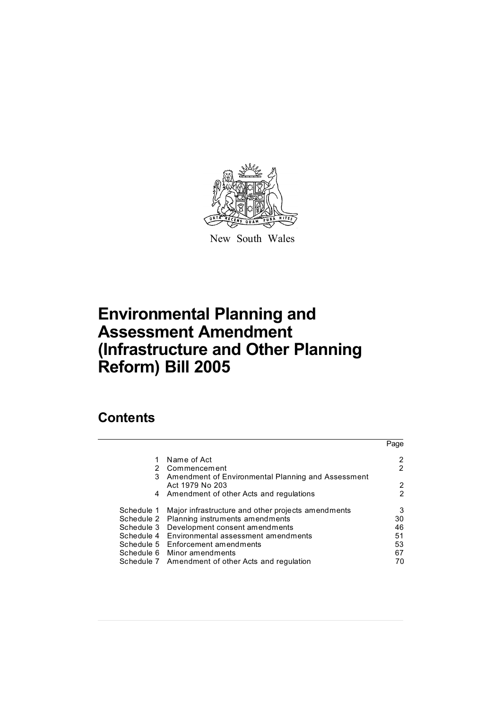

New South Wales

# **Environmental Planning and Assessment Amendment (Infrastructure and Other Planning Reform) Bill 2005**

# **Contents**

|            |                                                      | Page   |
|------------|------------------------------------------------------|--------|
|            | Name of Act                                          |        |
|            | 2 Commencement                                       | 2      |
|            | 3 Amendment of Environmental Planning and Assessment |        |
|            | Act 1979 No 203                                      | 2<br>2 |
|            | 4 Amendment of other Acts and regulations            |        |
| Schedule 1 | Major infrastructure and other projects amendments   | 3      |
|            | Schedule 2 Planning instruments amendments           | 30     |
|            | Schedule 3 Development consent amendments            | 46     |
|            | Schedule 4 Environmental assessment amendments       | 51     |
|            | Schedule 5 Enforcement amendments                    | 53     |
|            | Schedule 6 Minor amendments                          | 67     |
|            | Schedule 7 Amendment of other Acts and regulation    |        |
|            |                                                      |        |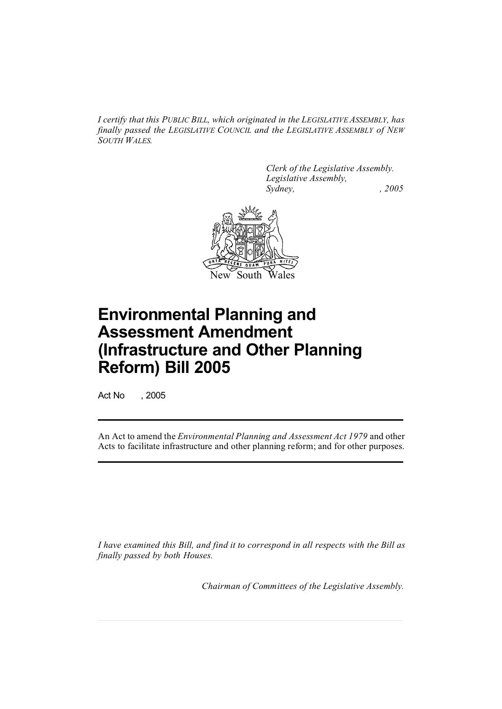*I certify that this PUBLIC BILL, which originated in the LEGISLATIVE ASSEMBLY, has finally passed the LEGISLATIVE COUNCIL and the LEGISLATIVE ASSEMBLY of NEW SOUTH WALES.*

> *Clerk of the Legislative Assembly. Legislative Assembly, Sydney, , 2005*



# **Environmental Planning and Assessment Amendment (Infrastructure and Other Planning Reform) Bill 2005**

Act No , 2005

An Act to amend the *Environmental Planning and Assessment Act 1979* and other Acts to facilitate infrastructure and other planning reform; and for other purposes.

*I have examined this Bill, and find it to correspond in all respects with the Bill as finally passed by both Houses.*

*Chairman of Committees of the Legislative Assembly.*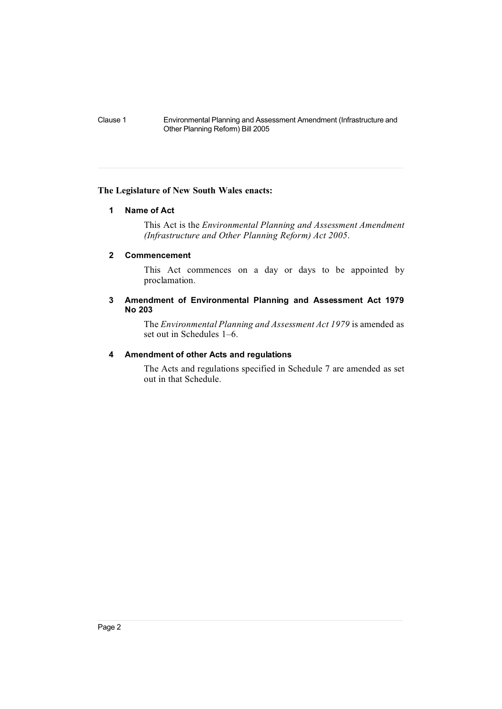# **The Legislature of New South Wales enacts:**

#### **1 Name of Act**

This Act is the *Environmental Planning and Assessment Amendment (Infrastructure and Other Planning Reform) Act 2005*.

# **2 Commencement**

This Act commences on a day or days to be appointed by proclamation.

# **3 Amendment of Environmental Planning and Assessment Act 1979 No 203**

The *Environmental Planning and Assessment Act 1979* is amended as set out in Schedules 1–6.

### **4 Amendment of other Acts and regulations**

The Acts and regulations specified in Schedule 7 are amended as set out in that Schedule.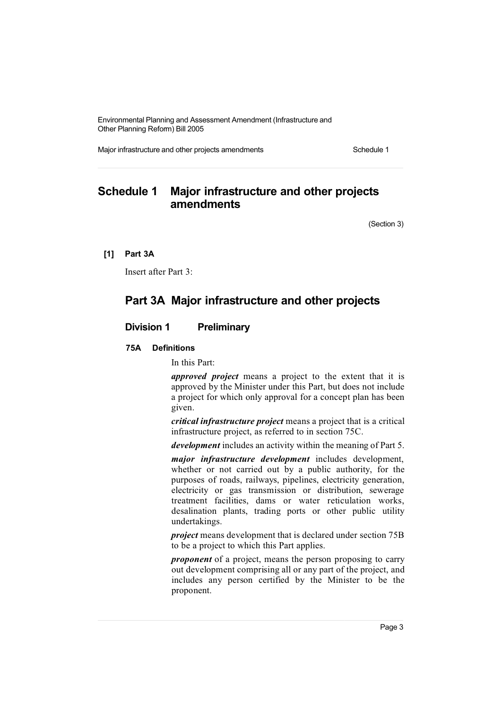Major infrastructure and other projects amendments Schedule 1

# **Schedule 1 Major infrastructure and other projects amendments**

(Section 3)

**[1] Part 3A**

Insert after Part 3:

# **Part 3A Major infrastructure and other projects**

# **Division 1 Preliminary**

#### **75A Definitions**

In this Part:

*approved project* means a project to the extent that it is approved by the Minister under this Part, but does not include a project for which only approval for a concept plan has been given.

*critical infrastructure project* means a project that is a critical infrastructure project, as referred to in section 75C.

*development* includes an activity within the meaning of Part 5.

*major infrastructure development* includes development, whether or not carried out by a public authority, for the purposes of roads, railways, pipelines, electricity generation, electricity or gas transmission or distribution, sewerage treatment facilities, dams or water reticulation works, desalination plants, trading ports or other public utility undertakings.

*project* means development that is declared under section 75B to be a project to which this Part applies.

*proponent* of a project, means the person proposing to carry out development comprising all or any part of the project, and includes any person certified by the Minister to be the proponent.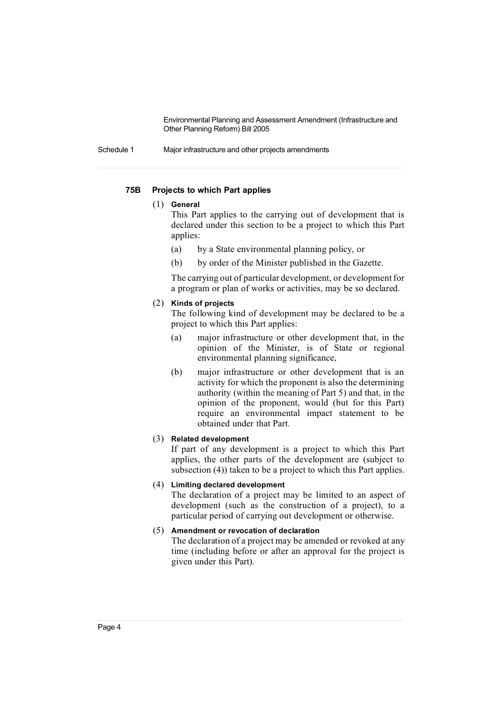Schedule 1 Major infrastructure and other projects amendments

# **75B Projects to which Part applies**

# (1) **General**

This Part applies to the carrying out of development that is declared under this section to be a project to which this Part applies:

- (a) by a State environmental planning policy, or
- (b) by order of the Minister published in the Gazette.

The carrying out of particular development, or development for a program or plan of works or activities, may be so declared.

# (2) **Kinds of projects**

The following kind of development may be declared to be a project to which this Part applies:

- (a) major infrastructure or other development that, in the opinion of the Minister, is of State or regional environmental planning significance,
- (b) major infrastructure or other development that is an activity for which the proponent is also the determining authority (within the meaning of Part 5) and that, in the opinion of the proponent, would (but for this Part) require an environmental impact statement to be obtained under that Part.

#### (3) **Related development**

If part of any development is a project to which this Part applies, the other parts of the development are (subject to subsection (4)) taken to be a project to which this Part applies.

#### (4) **Limiting declared development**

The declaration of a project may be limited to an aspect of development (such as the construction of a project), to a particular period of carrying out development or otherwise.

# (5) **Amendment or revocation of declaration**

The declaration of a project may be amended or revoked at any time (including before or after an approval for the project is given under this Part).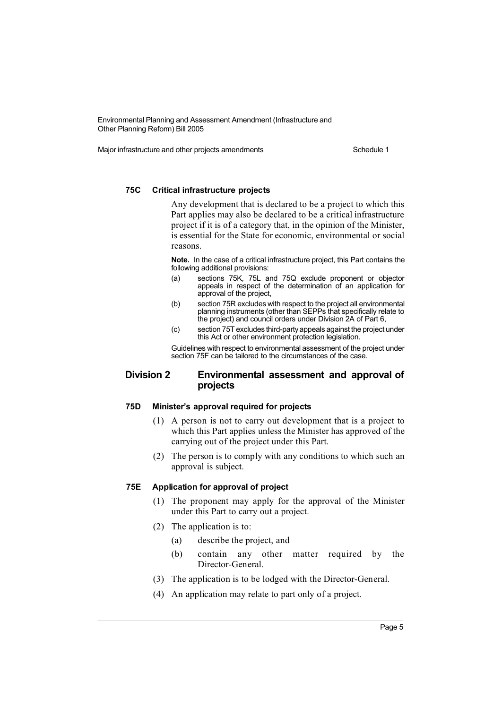Major infrastructure and other projects amendments Schedule 1

# **75C Critical infrastructure projects**

Any development that is declared to be a project to which this Part applies may also be declared to be a critical infrastructure project if it is of a category that, in the opinion of the Minister, is essential for the State for economic, environmental or social reasons.

**Note.** In the case of a critical infrastructure project, this Part contains the following additional provisions:

- (a) sections 75K, 75L and 75Q exclude proponent or objector appeals in respect of the determination of an application for approval of the project,
- (b) section 75R excludes with respect to the project all environmental planning instruments (other than SEPPs that specifically relate to the project) and council orders under Division 2A of Part 6,
- (c) section 75T excludes third-partyappeals against the project under this Act or other environment protection legislation.

Guidelines with respect to environmental assessment of the project under section 75F can be tailored to the circumstances of the case.

# **Division 2 Environmental assessment and approval of projects**

#### **75D Minister's approval required for projects**

- (1) A person is not to carry out development that is a project to which this Part applies unless the Minister has approved of the carrying out of the project under this Part.
- (2) The person is to comply with any conditions to which such an approval is subject.

# **75E Application for approval of project**

- (1) The proponent may apply for the approval of the Minister under this Part to carry out a project.
- (2) The application is to:
	- (a) describe the project, and
	- (b) contain any other matter required by the Director-General.
- (3) The application is to be lodged with the Director-General.
- (4) An application may relate to part only of a project.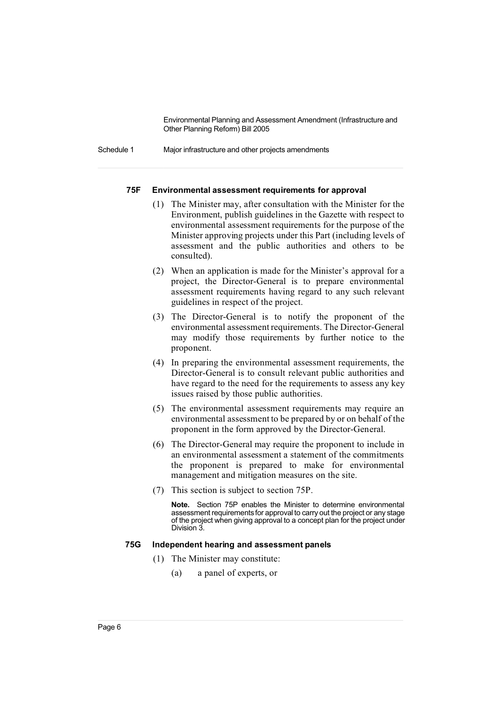Schedule 1 Major infrastructure and other projects amendments

#### **75F Environmental assessment requirements for approval**

- (1) The Minister may, after consultation with the Minister for the Environment, publish guidelines in the Gazette with respect to environmental assessment requirements for the purpose of the Minister approving projects under this Part (including levels of assessment and the public authorities and others to be consulted).
- (2) When an application is made for the Minister's approval for a project, the Director-General is to prepare environmental assessment requirements having regard to any such relevant guidelines in respect of the project.
- (3) The Director-General is to notify the proponent of the environmental assessment requirements. The Director-General may modify those requirements by further notice to the proponent.
- (4) In preparing the environmental assessment requirements, the Director-General is to consult relevant public authorities and have regard to the need for the requirements to assess any key issues raised by those public authorities.
- (5) The environmental assessment requirements may require an environmental assessment to be prepared by or on behalf of the proponent in the form approved by the Director-General.
- (6) The Director-General may require the proponent to include in an environmental assessment a statement of the commitments the proponent is prepared to make for environmental management and mitigation measures on the site.
- (7) This section is subject to section 75P.

**Note.** Section 75P enables the Minister to determine environmental assessment requirements for approval to carry out the project or any stage of the project when giving approval to a concept plan for the project under Division 3.

#### **75G Independent hearing and assessment panels**

- (1) The Minister may constitute:
	- (a) a panel of experts, or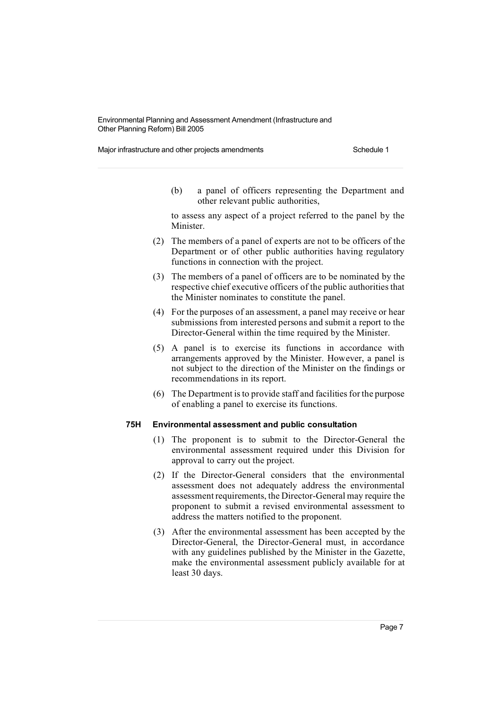Major infrastructure and other projects amendments Schedule 1

(b) a panel of officers representing the Department and other relevant public authorities,

to assess any aspect of a project referred to the panel by the Minister.

- (2) The members of a panel of experts are not to be officers of the Department or of other public authorities having regulatory functions in connection with the project.
- (3) The members of a panel of officers are to be nominated by the respective chief executive officers of the public authorities that the Minister nominates to constitute the panel.
- (4) For the purposes of an assessment, a panel may receive or hear submissions from interested persons and submit a report to the Director-General within the time required by the Minister.
- (5) A panel is to exercise its functions in accordance with arrangements approved by the Minister. However, a panel is not subject to the direction of the Minister on the findings or recommendations in its report.
- $(6)$  The Department is to provide staff and facilities for the purpose of enabling a panel to exercise its functions.

#### **75H Environmental assessment and public consultation**

- (1) The proponent is to submit to the Director-General the environmental assessment required under this Division for approval to carry out the project.
- (2) If the Director-General considers that the environmental assessment does not adequately address the environmental assessment requirements, the Director-General may require the proponent to submit a revised environmental assessment to address the matters notified to the proponent.
- (3) After the environmental assessment has been accepted by the Director-General, the Director-General must, in accordance with any guidelines published by the Minister in the Gazette, make the environmental assessment publicly available for at least 30 days.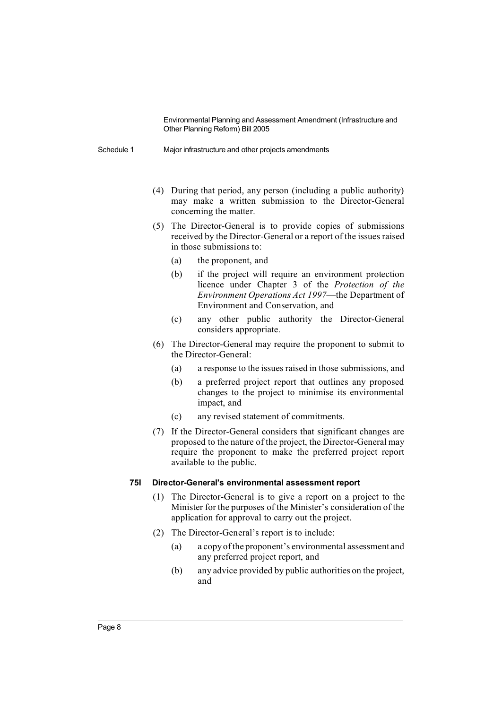Schedule 1 Major infrastructure and other projects amendments

- (4) During that period, any person (including a public authority) may make a written submission to the Director-General concerning the matter.
- (5) The Director-General is to provide copies of submissions received by the Director-General or a report of the issues raised in those submissions to:
	- (a) the proponent, and
	- (b) if the project will require an environment protection licence under Chapter 3 of the *Protection of the Environment Operations Act 1997*—the Department of Environment and Conservation, and
	- (c) any other public authority the Director-General considers appropriate.
- (6) The Director-General may require the proponent to submit to the Director-General:
	- (a) a response to the issues raised in those submissions, and
	- (b) a preferred project report that outlines any proposed changes to the project to minimise its environmental impact, and
	- (c) any revised statement of commitments.
- (7) If the Director-General considers that significant changes are proposed to the nature of the project, the Director-General may require the proponent to make the preferred project report available to the public.

#### **75I Director-General's environmental assessment report**

- (1) The Director-General is to give a report on a project to the Minister for the purposes of the Minister's consideration of the application for approval to carry out the project.
- (2) The Director-General's report is to include:
	- (a) a copy ofthe proponent's environmental assessment and any preferred project report, and
	- (b) any advice provided by public authorities on the project, and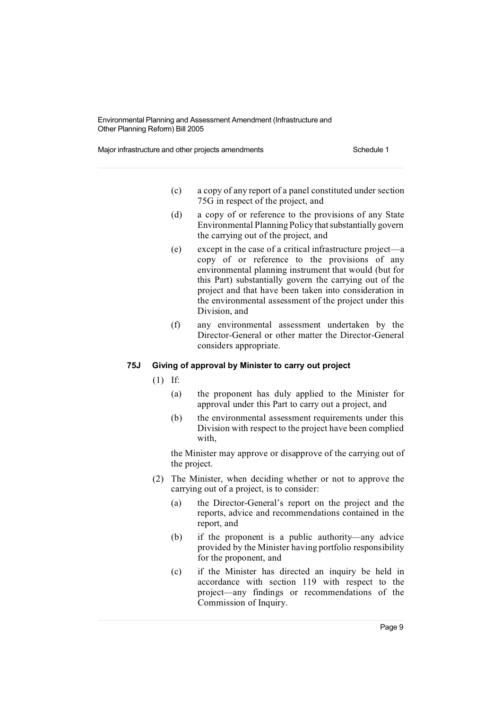Major infrastructure and other projects amendments Schedule 1

- (c) a copy of any report of a panel constituted under section 75G in respect of the project, and
- (d) a copy of or reference to the provisions of any State Environmental Planning Policy that substantially govern the carrying out of the project, and
- (e) except in the case of a critical infrastructure project—a copy of or reference to the provisions of any environmental planning instrument that would (but for this Part) substantially govern the carrying out of the project and that have been taken into consideration in the environmental assessment of the project under this Division, and
- (f) any environmental assessment undertaken by the Director-General or other matter the Director-General considers appropriate.

## **75J Giving of approval by Minister to carry out project**

(1) If:

- (a) the proponent has duly applied to the Minister for approval under this Part to carry out a project, and
- (b) the environmental assessment requirements under this Division with respect to the project have been complied with,

the Minister may approve or disapprove of the carrying out of the project.

- (2) The Minister, when deciding whether or not to approve the carrying out of a project, is to consider:
	- (a) the Director-General's report on the project and the reports, advice and recommendations contained in the report, and
	- (b) if the proponent is a public authority—any advice provided by the Minister having portfolio responsibility for the proponent, and
	- (c) if the Minister has directed an inquiry be held in accordance with section 119 with respect to the project—any findings or recommendations of the Commission of Inquiry.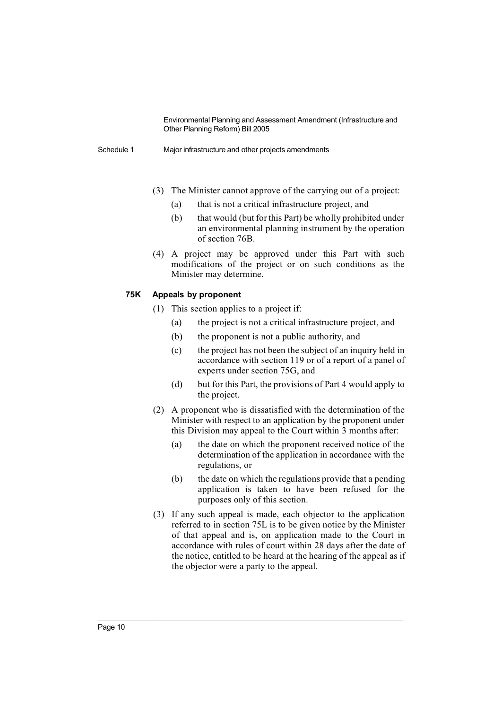Schedule 1 Major infrastructure and other projects amendments

- (3) The Minister cannot approve of the carrying out of a project:
	- (a) that is not a critical infrastructure project, and
	- (b) that would (but for this Part) be wholly prohibited under an environmental planning instrument by the operation of section 76B.
- (4) A project may be approved under this Part with such modifications of the project or on such conditions as the Minister may determine.

#### **75K Appeals by proponent**

- (1) This section applies to a project if:
	- (a) the project is not a critical infrastructure project, and
	- (b) the proponent is not a public authority, and
	- (c) the project has not been the subject of an inquiry held in accordance with section 119 or of a report of a panel of experts under section 75G, and
	- (d) but for this Part, the provisions of Part 4 would apply to the project.
- (2) A proponent who is dissatisfied with the determination of the Minister with respect to an application by the proponent under this Division may appeal to the Court within 3 months after:
	- (a) the date on which the proponent received notice of the determination of the application in accordance with the regulations, or
	- (b) the date on which the regulations provide that a pending application is taken to have been refused for the purposes only of this section.
- (3) If any such appeal is made, each objector to the application referred to in section 75L is to be given notice by the Minister of that appeal and is, on application made to the Court in accordance with rules of court within 28 days after the date of the notice, entitled to be heard at the hearing of the appeal as if the objector were a party to the appeal.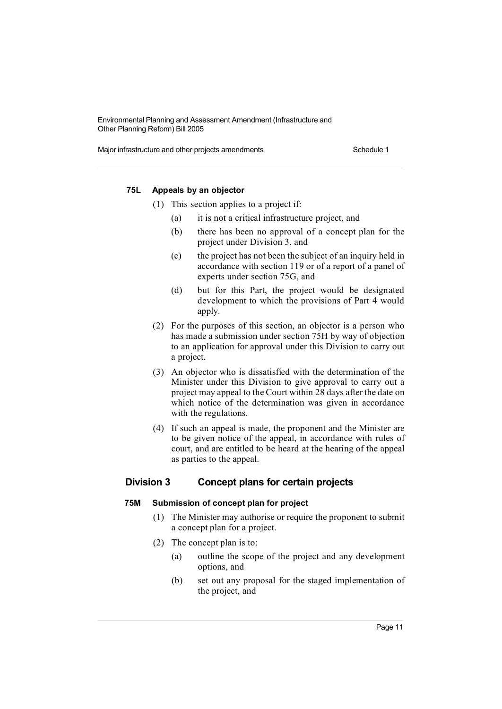Major infrastructure and other projects amendments Schedule 1

# **75L Appeals by an objector**

- (1) This section applies to a project if:
	- (a) it is not a critical infrastructure project, and
	- (b) there has been no approval of a concept plan for the project under Division 3, and
	- (c) the project has not been the subject of an inquiry held in accordance with section 119 or of a report of a panel of experts under section 75G, and
	- (d) but for this Part, the project would be designated development to which the provisions of Part 4 would apply.
- (2) For the purposes of this section, an objector is a person who has made a submission under section 75H by way of objection to an application for approval under this Division to carry out a project.
- (3) An objector who is dissatisfied with the determination of the Minister under this Division to give approval to carry out a project may appeal to the Court within 28 days after the date on which notice of the determination was given in accordance with the regulations.
- (4) If such an appeal is made, the proponent and the Minister are to be given notice of the appeal, in accordance with rules of court, and are entitled to be heard at the hearing of the appeal as parties to the appeal.

# **Division 3 Concept plans for certain projects**

#### **75M Submission of concept plan for project**

- (1) The Minister may authorise or require the proponent to submit a concept plan for a project.
- (2) The concept plan is to:
	- (a) outline the scope of the project and any development options, and
	- (b) set out any proposal for the staged implementation of the project, and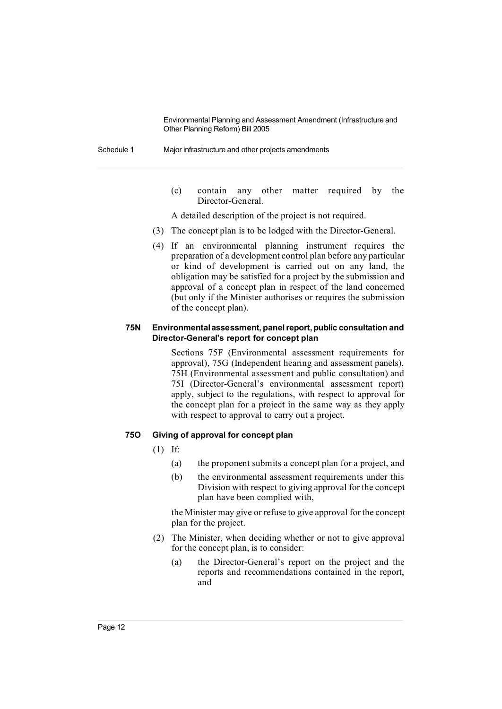Schedule 1 Major infrastructure and other projects amendments

(c) contain any other matter required by the Director-General.

A detailed description of the project is not required.

- (3) The concept plan is to be lodged with the Director-General.
- (4) If an environmental planning instrument requires the preparation of a development control plan before any particular or kind of development is carried out on any land, the obligation may be satisfied for a project by the submission and approval of a concept plan in respect of the land concerned (but only if the Minister authorises or requires the submission of the concept plan).

#### **75N Environmentalassessment, panelreport,public consultation and Director-General's report for concept plan**

Sections 75F (Environmental assessment requirements for approval), 75G (Independent hearing and assessment panels), 75H (Environmental assessment and public consultation) and 75I (Director-General's environmental assessment report) apply, subject to the regulations, with respect to approval for the concept plan for a project in the same way as they apply with respect to approval to carry out a project.

#### **75O Giving of approval for concept plan**

- $(1)$  If:
	- (a) the proponent submits a concept plan for a project, and
	- (b) the environmental assessment requirements under this Division with respect to giving approval for the concept plan have been complied with,

the Minister may give or refuse to give approval for the concept plan for the project.

- (2) The Minister, when deciding whether or not to give approval for the concept plan, is to consider:
	- (a) the Director-General's report on the project and the reports and recommendations contained in the report, and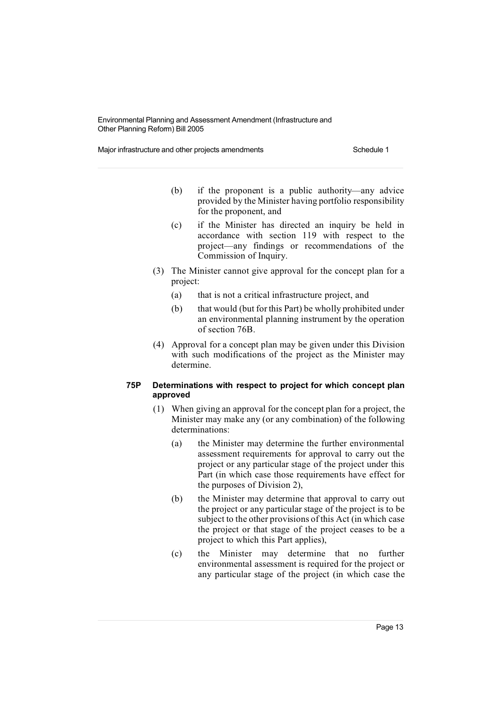Major infrastructure and other projects amendments Schedule 1

- (b) if the proponent is a public authority—any advice provided by the Minister having portfolio responsibility for the proponent, and
- (c) if the Minister has directed an inquiry be held in accordance with section 119 with respect to the project—any findings or recommendations of the Commission of Inquiry.
- (3) The Minister cannot give approval for the concept plan for a project:
	- (a) that is not a critical infrastructure project, and
	- (b) that would (but for this Part) be wholly prohibited under an environmental planning instrument by the operation of section 76B.
- (4) Approval for a concept plan may be given under this Division with such modifications of the project as the Minister may determine.

# **75P Determinations with respect to project for which concept plan approved**

- (1) When giving an approval for the concept plan for a project, the Minister may make any (or any combination) of the following determinations:
	- (a) the Minister may determine the further environmental assessment requirements for approval to carry out the project or any particular stage of the project under this Part (in which case those requirements have effect for the purposes of Division 2),
	- (b) the Minister may determine that approval to carry out the project or any particular stage of the project is to be subject to the other provisions of this Act (in which case the project or that stage of the project ceases to be a project to which this Part applies),
	- (c) the Minister may determine that no further environmental assessment is required for the project or any particular stage of the project (in which case the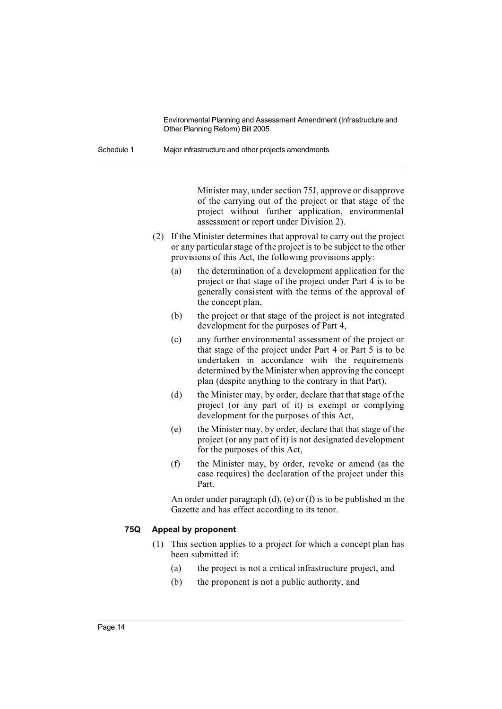Schedule 1 Major infrastructure and other projects amendments

Minister may, under section 75J, approve or disapprove of the carrying out of the project or that stage of the project without further application, environmental assessment or report under Division 2).

- (2) If the Minister determines that approval to carry out the project or any particularstage of the project is to be subject to the other provisions of this Act, the following provisions apply:
	- (a) the determination of a development application for the project or that stage of the project under Part 4 is to be generally consistent with the terms of the approval of the concept plan,
	- (b) the project or that stage of the project is not integrated development for the purposes of Part 4,
	- (c) any further environmental assessment of the project or that stage of the project under Part 4 or Part 5 is to be undertaken in accordance with the requirements determined by the Minister when approving the concept plan (despite anything to the contrary in that Part),
	- (d) the Minister may, by order, declare that that stage of the project (or any part of it) is exempt or complying development for the purposes of this Act,
	- (e) the Minister may, by order, declare that that stage of the project (or any part of it) is not designated development for the purposes of this Act,
	- (f) the Minister may, by order, revoke or amend (as the case requires) the declaration of the project under this Part.

An order under paragraph (d), (e) or (f) is to be published in the Gazette and has effect according to its tenor.

# **75Q Appeal by proponent**

- (1) This section applies to a project for which a concept plan has been submitted if:
	- (a) the project is not a critical infrastructure project, and
	- (b) the proponent is not a public authority, and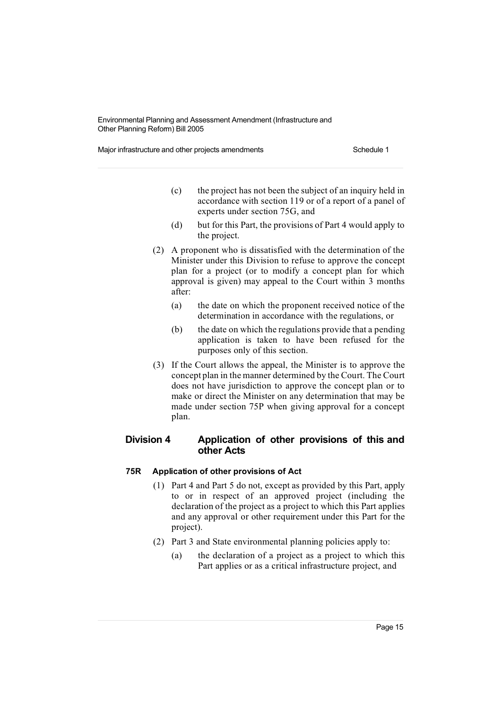Major infrastructure and other projects amendments Schedule 1

- (c) the project has not been the subject of an inquiry held in accordance with section 119 or of a report of a panel of experts under section 75G, and
- (d) but for this Part, the provisions of Part 4 would apply to the project.
- (2) A proponent who is dissatisfied with the determination of the Minister under this Division to refuse to approve the concept plan for a project (or to modify a concept plan for which approval is given) may appeal to the Court within 3 months after:
	- (a) the date on which the proponent received notice of the determination in accordance with the regulations, or
	- (b) the date on which the regulations provide that a pending application is taken to have been refused for the purposes only of this section.
- (3) If the Court allows the appeal, the Minister is to approve the concept plan in the manner determined by the Court. The Court does not have jurisdiction to approve the concept plan or to make or direct the Minister on any determination that may be made under section 75P when giving approval for a concept plan.

# **Division 4 Application of other provisions of this and other Acts**

# **75R Application of other provisions of Act**

- (1) Part 4 and Part 5 do not, except as provided by this Part, apply to or in respect of an approved project (including the declaration of the project as a project to which this Part applies and any approval or other requirement under this Part for the project).
- (2) Part 3 and State environmental planning policies apply to:
	- (a) the declaration of a project as a project to which this Part applies or as a critical infrastructure project, and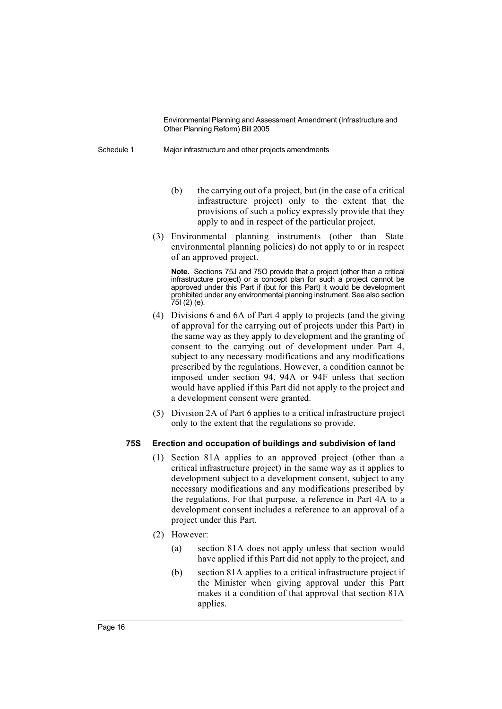Schedule 1 Major infrastructure and other projects amendments

- (b) the carrying out of a project, but (in the case of a critical infrastructure project) only to the extent that the provisions of such a policy expressly provide that they apply to and in respect of the particular project.
- (3) Environmental planning instruments (other than State environmental planning policies) do not apply to or in respect of an approved project.

**Note.** Sections 75J and 75O provide that a project (other than a critical infrastructure project) or a concept plan for such a project cannot be approved under this Part if (but for this Part) it would be development prohibited under any environmental planning instrument. See also section 75I (2) (e).

- (4) Divisions 6 and 6A of Part 4 apply to projects (and the giving of approval for the carrying out of projects under this Part) in the same way as they apply to development and the granting of consent to the carrying out of development under Part 4, subject to any necessary modifications and any modifications prescribed by the regulations. However, a condition cannot be imposed under section 94, 94A or 94F unless that section would have applied if this Part did not apply to the project and a development consent were granted.
- (5) Division 2A of Part 6 applies to a critical infrastructure project only to the extent that the regulations so provide.

#### **75S Erection and occupation of buildings and subdivision of land**

- (1) Section 81A applies to an approved project (other than a critical infrastructure project) in the same way as it applies to development subject to a development consent, subject to any necessary modifications and any modifications prescribed by the regulations. For that purpose, a reference in Part 4A to a development consent includes a reference to an approval of a project under this Part.
- (2) However:
	- (a) section 81A does not apply unless that section would have applied if this Part did not apply to the project, and
	- (b) section 81A applies to a critical infrastructure project if the Minister when giving approval under this Part makes it a condition of that approval that section 81A applies.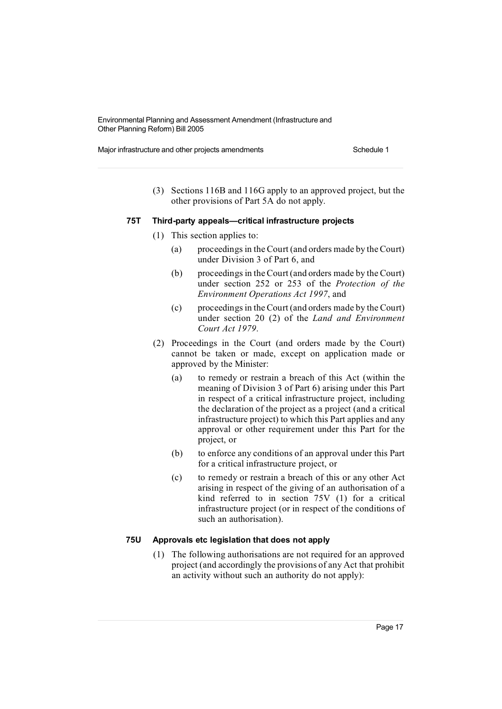Major infrastructure and other projects amendments Schedule 1

(3) Sections 116B and 116G apply to an approved project, but the other provisions of Part 5A do not apply.

#### **75T Third-party appeals—critical infrastructure projects**

- (1) This section applies to:
	- (a) proceedings in the Court (and orders made by theCourt) under Division 3 of Part 6, and
	- (b) proceedings in theCourt (and orders made by the Court) under section 252 or 253 of the *Protection of the Environment Operations Act 1997*, and
	- (c) proceedingsin theCourt (and orders made by the Court) under section 20 (2) of the *Land and Environment Court Act 1979*.
- (2) Proceedings in the Court (and orders made by the Court) cannot be taken or made, except on application made or approved by the Minister:
	- (a) to remedy or restrain a breach of this Act (within the meaning of Division 3 of Part 6) arising under this Part in respect of a critical infrastructure project, including the declaration of the project as a project (and a critical infrastructure project) to which this Part applies and any approval or other requirement under this Part for the project, or
	- (b) to enforce any conditions of an approval under this Part for a critical infrastructure project, or
	- (c) to remedy or restrain a breach of this or any other Act arising in respect of the giving of an authorisation of a kind referred to in section 75V (1) for a critical infrastructure project (or in respect of the conditions of such an authorisation).

# **75U Approvals etc legislation that does not apply**

(1) The following authorisations are not required for an approved project (and accordingly the provisions of any Act that prohibit an activity without such an authority do not apply):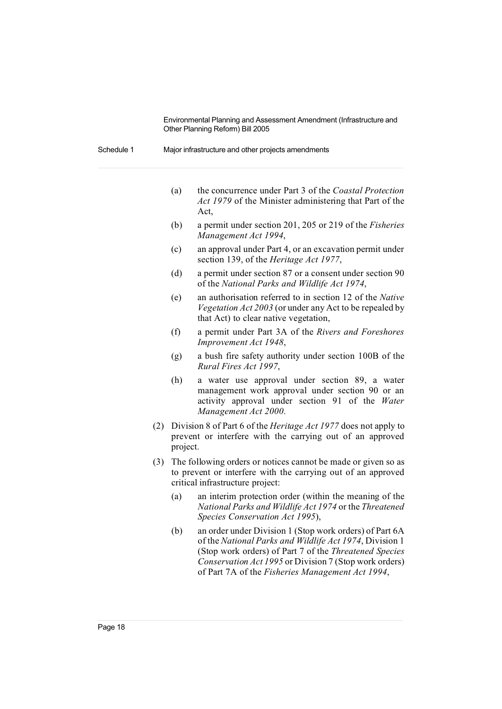| Schedule 1 | Major infrastructure and other projects amendments |  |
|------------|----------------------------------------------------|--|
|            |                                                    |  |

- (a) the concurrence under Part 3 of the *Coastal Protection Act 1979* of the Minister administering that Part of the Act,
- (b) a permit under section 201, 205 or 219 of the *Fisheries Management Act 1994*,
- (c) an approval under Part 4, or an excavation permit under section 139, of the *Heritage Act 1977*,
- (d) a permit under section 87 or a consent under section 90 of the *National Parks and Wildlife Act 1974*,
- (e) an authorisation referred to in section 12 of the *Native Vegetation Act 2003* (or under any Act to be repealed by that Act) to clear native vegetation,
- (f) a permit under Part 3A of the *Rivers and Foreshores Improvement Act 1948*,
- (g) a bush fire safety authority under section 100B of the *Rural Fires Act 1997*,
- (h) a water use approval under section 89, a water management work approval under section 90 or an activity approval under section 91 of the *Water Management Act 2000*.
- (2) Division 8 of Part 6 of the *Heritage Act 1977* does not apply to prevent or interfere with the carrying out of an approved project.
- (3) The following orders or notices cannot be made or given so as to prevent or interfere with the carrying out of an approved critical infrastructure project:
	- (a) an interim protection order (within the meaning of the *National Parks and Wildlife Act 1974* or the *Threatened Species Conservation Act 1995*),
	- (b) an order under Division 1 (Stop work orders) of Part 6A of the *National Parks and Wildlife Act 1974*, Division 1 (Stop work orders) of Part 7 of the *Threatened Species Conservation Act 1995* or Division 7 (Stop work orders) of Part 7A of the *Fisheries Management Act 1994*,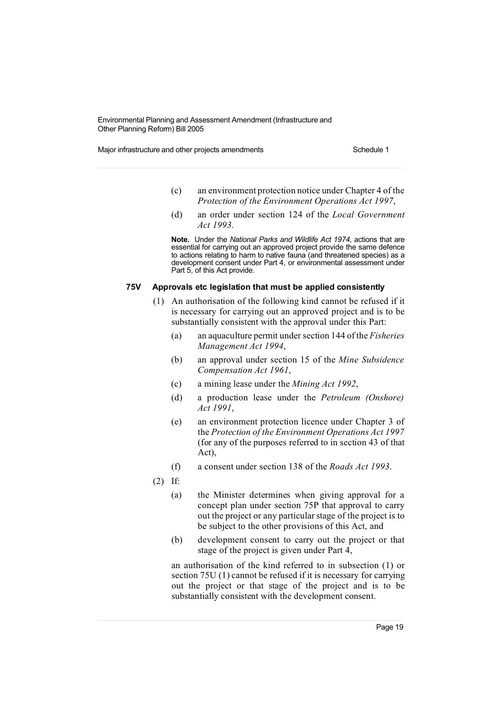Major infrastructure and other projects amendments Schedule 1

- (c) an environment protection notice under Chapter 4 of the *Protection of the Environment Operations Act 1997*,
- (d) an order under section 124 of the *Local Government Act 1993*.

**Note.** Under the *National Parks and Wildlife Act 1974*, actions that are essential for carrying out an approved project provide the same defence to actions relating to harm to native fauna (and threatened species) as a development consent under Part 4, or environmental assessment under Part 5, of this Act provide.

#### **75V Approvals etc legislation that must be applied consistently**

- (1) An authorisation of the following kind cannot be refused if it is necessary for carrying out an approved project and is to be substantially consistent with the approval under this Part:
	- (a) an aquaculture permit under section 144 of the *Fisheries Management Act 1994*,
	- (b) an approval under section 15 of the *Mine Subsidence Compensation Act 1961*,
	- (c) a mining lease under the *Mining Act 1992*,
	- (d) a production lease under the *Petroleum (Onshore) Act 1991*,
	- (e) an environment protection licence under Chapter 3 of the *Protection of the Environment Operations Act 1997* (for any of the purposes referred to in section 43 of that Act),
	- (f) a consent under section 138 of the *Roads Act 1993*.
- (2) If:
	- (a) the Minister determines when giving approval for a concept plan under section 75P that approval to carry out the project or any particular stage of the project is to be subject to the other provisions of this Act, and
	- (b) development consent to carry out the project or that stage of the project is given under Part 4,

an authorisation of the kind referred to in subsection (1) or section 75U (1) cannot be refused if it is necessary for carrying out the project or that stage of the project and is to be substantially consistent with the development consent.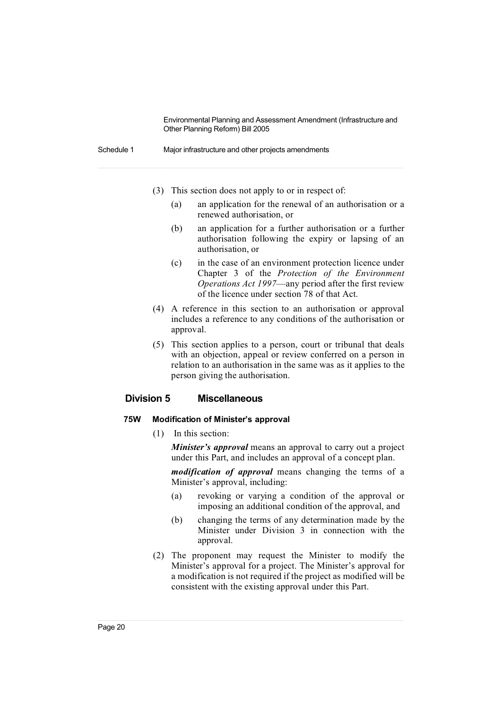Schedule 1 Major infrastructure and other projects amendments

- (3) This section does not apply to or in respect of:
	- (a) an application for the renewal of an authorisation or a renewed authorisation, or
	- (b) an application for a further authorisation or a further authorisation following the expiry or lapsing of an authorisation, or
	- (c) in the case of an environment protection licence under Chapter 3 of the *Protection of the Environment Operations Act 1997*—any period after the first review of the licence under section 78 of that Act.
- (4) A reference in this section to an authorisation or approval includes a reference to any conditions of the authorisation or approval.
- (5) This section applies to a person, court or tribunal that deals with an objection, appeal or review conferred on a person in relation to an authorisation in the same was as it applies to the person giving the authorisation.

# **Division 5 Miscellaneous**

# **75W Modification of Minister's approval**

(1) In this section:

*Minister's approval* means an approval to carry out a project under this Part, and includes an approval of a concept plan.

*modification of approval* means changing the terms of a Minister's approval, including:

- (a) revoking or varying a condition of the approval or imposing an additional condition of the approval, and
- (b) changing the terms of any determination made by the Minister under Division 3 in connection with the approval.
- (2) The proponent may request the Minister to modify the Minister's approval for a project. The Minister's approval for a modification is not required if the project as modified will be consistent with the existing approval under this Part.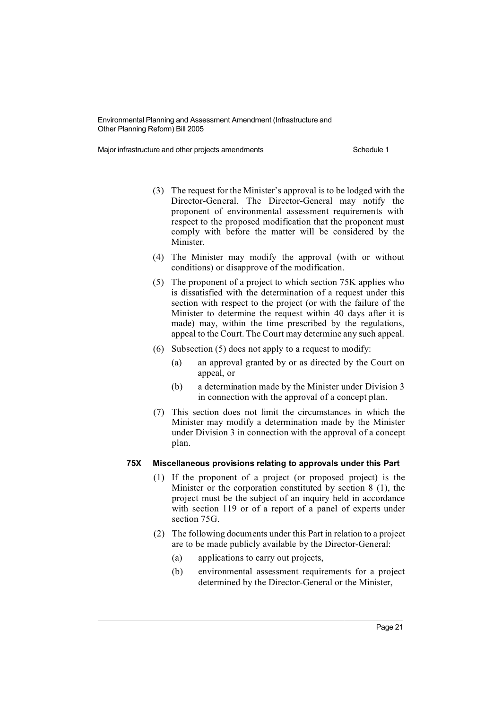Major infrastructure and other projects amendments Schedule 1

- (3) The request for the Minister's approval is to be lodged with the Director-General. The Director-General may notify the proponent of environmental assessment requirements with respect to the proposed modification that the proponent must comply with before the matter will be considered by the Minister.
- (4) The Minister may modify the approval (with or without conditions) or disapprove of the modification.
- (5) The proponent of a project to which section 75K applies who is dissatisfied with the determination of a request under this section with respect to the project (or with the failure of the Minister to determine the request within 40 days after it is made) may, within the time prescribed by the regulations, appeal to the Court. The Court may determine any such appeal.
- (6) Subsection (5) does not apply to a request to modify:
	- (a) an approval granted by or as directed by the Court on appeal, or
	- (b) a determination made by the Minister under Division 3 in connection with the approval of a concept plan.
- (7) This section does not limit the circumstances in which the Minister may modify a determination made by the Minister under Division 3 in connection with the approval of a concept plan.

# **75X Miscellaneous provisions relating to approvals under this Part**

- (1) If the proponent of a project (or proposed project) is the Minister or the corporation constituted by section 8 (1), the project must be the subject of an inquiry held in accordance with section 119 or of a report of a panel of experts under section 75G.
- (2) The following documents under this Part in relation to a project are to be made publicly available by the Director-General:
	- (a) applications to carry out projects,
	- (b) environmental assessment requirements for a project determined by the Director-General or the Minister,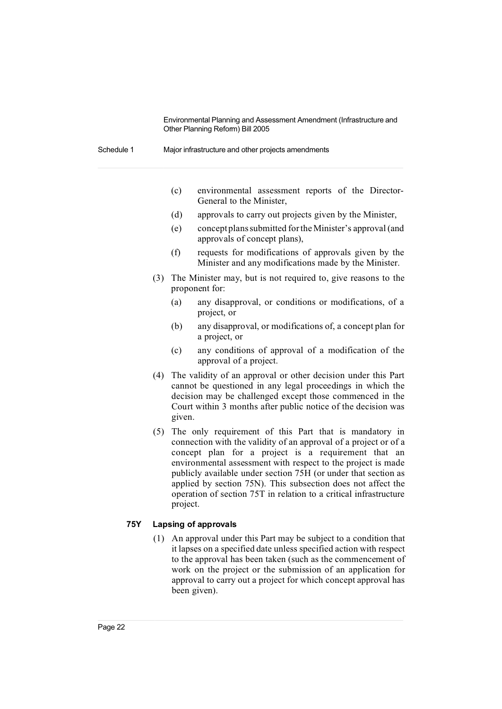Schedule 1 Major infrastructure and other projects amendments

- (c) environmental assessment reports of the Director-General to the Minister,
- (d) approvals to carry out projects given by the Minister,
- (e) conceptplanssubmitted fortheMinister's approval (and approvals of concept plans),
- (f) requests for modifications of approvals given by the Minister and any modifications made by the Minister.
- (3) The Minister may, but is not required to, give reasons to the proponent for:
	- (a) any disapproval, or conditions or modifications, of a project, or
	- (b) any disapproval, or modifications of, a concept plan for a project, or
	- (c) any conditions of approval of a modification of the approval of a project.
- (4) The validity of an approval or other decision under this Part cannot be questioned in any legal proceedings in which the decision may be challenged except those commenced in the Court within 3 months after public notice of the decision was given.
- (5) The only requirement of this Part that is mandatory in connection with the validity of an approval of a project or of a concept plan for a project is a requirement that an environmental assessment with respect to the project is made publicly available under section 75H (or under that section as applied by section 75N). This subsection does not affect the operation of section 75T in relation to a critical infrastructure project.

# **75Y Lapsing of approvals**

(1) An approval under this Part may be subject to a condition that it lapses on a specified date unless specified action with respect to the approval has been taken (such as the commencement of work on the project or the submission of an application for approval to carry out a project for which concept approval has been given).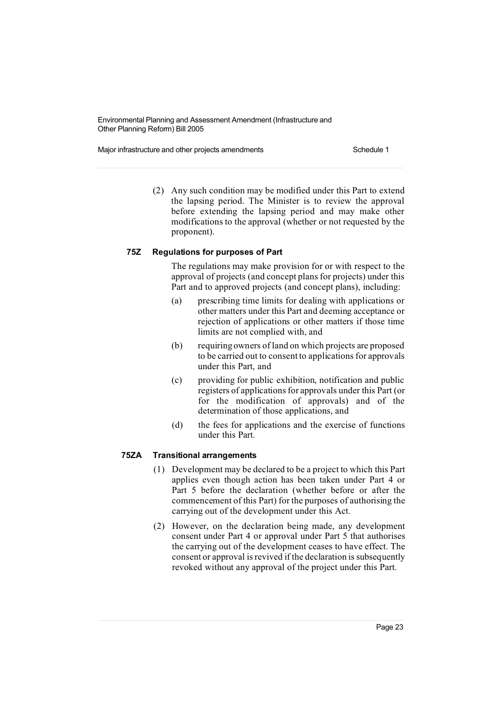Major infrastructure and other projects amendments Schedule 1

(2) Any such condition may be modified under this Part to extend the lapsing period. The Minister is to review the approval before extending the lapsing period and may make other modifications to the approval (whether or not requested by the proponent).

# **75Z Regulations for purposes of Part**

The regulations may make provision for or with respect to the approval of projects (and concept plans for projects) under this Part and to approved projects (and concept plans), including:

- (a) prescribing time limits for dealing with applications or other matters under this Part and deeming acceptance or rejection of applications or other matters if those time limits are not complied with, and
- (b) requiringowners of land on which projects are proposed to be carried out to consent to applications for approvals under this Part, and
- (c) providing for public exhibition, notification and public registers of applications for approvals under this Part (or for the modification of approvals) and of the determination of those applications, and
- (d) the fees for applications and the exercise of functions under this Part.

# **75ZA Transitional arrangements**

- (1) Development may be declared to be a project to which this Part applies even though action has been taken under Part 4 or Part 5 before the declaration (whether before or after the commencement of this Part) for the purposes of authorising the carrying out of the development under this Act.
- (2) However, on the declaration being made, any development consent under Part 4 or approval under Part 5 that authorises the carrying out of the development ceases to have effect. The consent or approval is revived if the declaration is subsequently revoked without any approval of the project under this Part.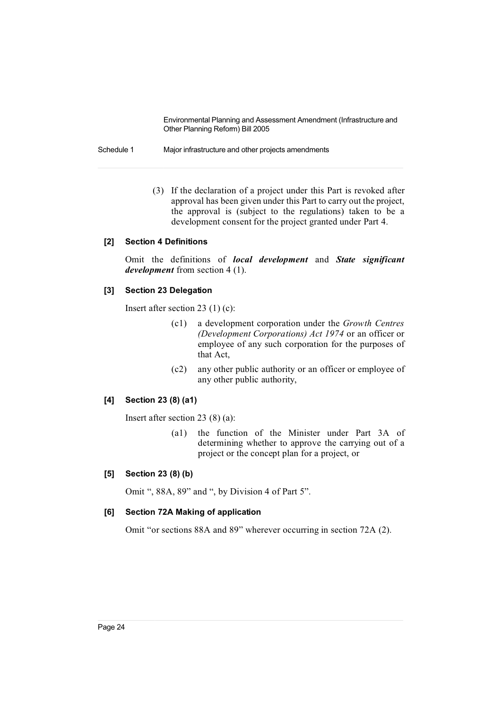Schedule 1 Major infrastructure and other projects amendments

(3) If the declaration of a project under this Part is revoked after approval has been given under this Part to carry out the project, the approval is (subject to the regulations) taken to be a development consent for the project granted under Part 4.

#### **[2] Section 4 Definitions**

Omit the definitions of *local development* and *State significant development* from section 4 (1).

#### **[3] Section 23 Delegation**

Insert after section 23 (1) (c):

- (c1) a development corporation under the *Growth Centres (Development Corporations) Act 1974* or an officer or employee of any such corporation for the purposes of that Act,
- (c2) any other public authority or an officer or employee of any other public authority,

# **[4] Section 23 (8) (a1)**

Insert after section 23 (8) (a):

(a1) the function of the Minister under Part 3A of determining whether to approve the carrying out of a project or the concept plan for a project, or

#### **[5] Section 23 (8) (b)**

Omit ", 88A, 89" and ", by Division 4 of Part 5".

# **[6] Section 72A Making of application**

Omit "or sections 88A and 89" wherever occurring in section 72A (2).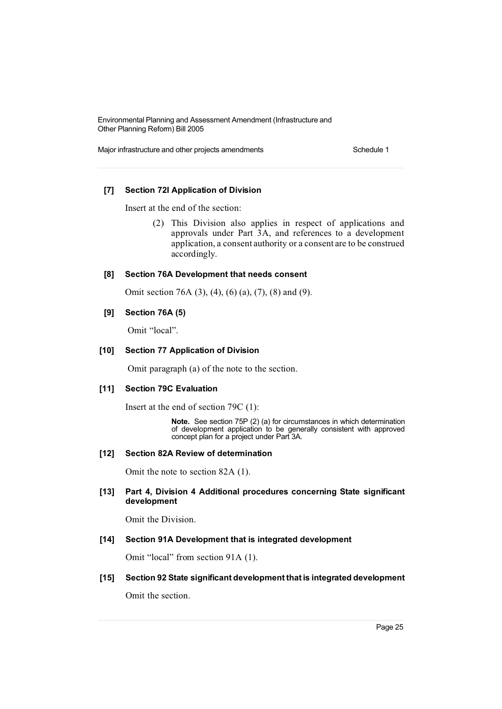Major infrastructure and other projects amendments Schedule 1

# **[7] Section 72I Application of Division**

Insert at the end of the section:

(2) This Division also applies in respect of applications and approvals under Part 3A, and references to a development application, a consent authority or a consent are to be construed accordingly.

#### **[8] Section 76A Development that needs consent**

Omit section 76A (3), (4), (6) (a), (7), (8) and (9).

#### **[9] Section 76A (5)**

Omit "local".

#### **[10] Section 77 Application of Division**

Omit paragraph (a) of the note to the section.

#### **[11] Section 79C Evaluation**

Insert at the end of section 79C (1):

**Note.** See section 75P (2) (a) for circumstances in which determination of development application to be generally consistent with approved concept plan for a project under Part 3A.

#### **[12] Section 82A Review of determination**

Omit the note to section 82A (1).

# **[13] Part 4, Division 4 Additional procedures concerning State significant development**

Omit the Division.

# **[14] Section 91A Development that is integrated development**

Omit "local" from section 91A (1).

**[15] Section 92 State significant development that is integrated development**

Omit the section.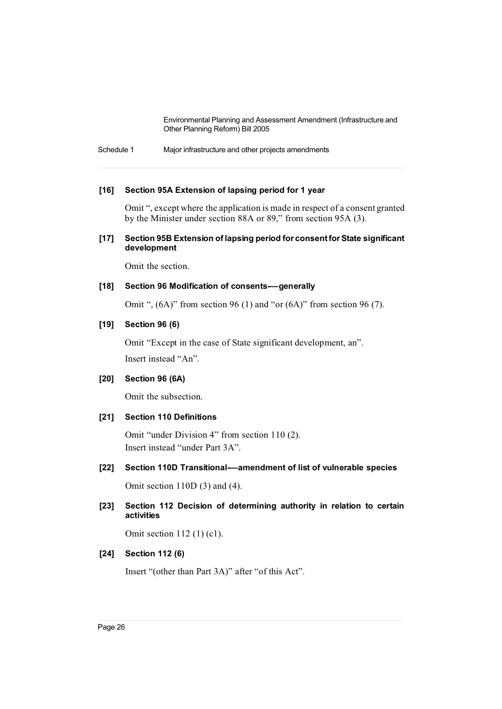Schedule 1 Major infrastructure and other projects amendments

### **[16] Section 95A Extension of lapsing period for 1 year**

Omit ", except where the application is made in respect of a consent granted by the Minister under section 88A or 89," from section 95A (3).

# **[17] Section 95B Extension of lapsing period for consentforState significant development**

Omit the section.

#### **[18] Section 96 Modification of consents-—generally**

Omit ", (6A)" from section 96 (1) and "or (6A)" from section 96 (7).

# **[19] Section 96 (6)**

Omit "Except in the case of State significant development, an". Insert instead "An".

### **[20] Section 96 (6A)**

Omit the subsection.

#### **[21] Section 110 Definitions**

Omit "under Division 4" from section 110 (2). Insert instead "under Part 3A".

**[22] Section 110D Transitional-—amendment of list of vulnerable species**

Omit section 110D (3) and (4).

**[23] Section 112 Decision of determining authority in relation to certain activities**

Omit section 112 (1) (c1).

#### **[24] Section 112 (6)**

Insert "(other than Part 3A)" after "of this Act".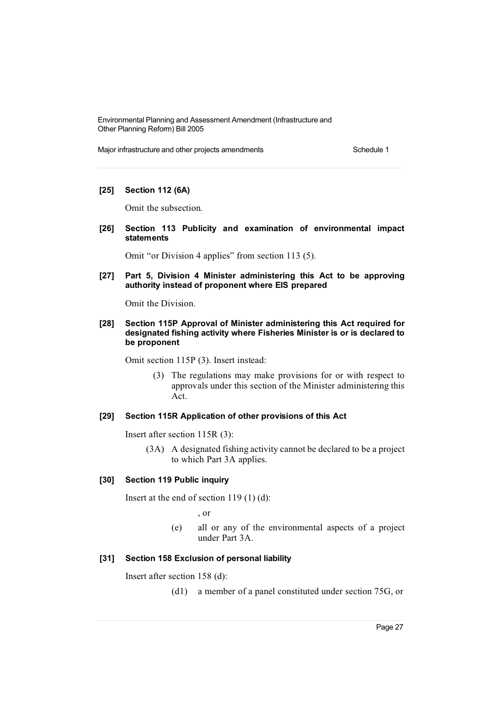Major infrastructure and other projects amendments Schedule 1

# **[25] Section 112 (6A)**

Omit the subsection.

**[26] Section 113 Publicity and examination of environmental impact statements**

Omit "or Division 4 applies" from section 113 (5).

**[27] Part 5, Division 4 Minister administering this Act to be approving authority instead of proponent where EIS prepared**

Omit the Division.

**[28] Section 115P Approval of Minister administering this Act required for designated fishing activity where Fisheries Minister is or is declared to be proponent**

Omit section 115P (3). Insert instead:

(3) The regulations may make provisions for or with respect to approvals under this section of the Minister administering this Act.

#### **[29] Section 115R Application of other provisions of this Act**

Insert after section 115R (3):

(3A) A designated fishing activity cannot be declared to be a project to which Part 3A applies.

#### **[30] Section 119 Public inquiry**

Insert at the end of section 119 (1) (d):

, or

(e) all or any of the environmental aspects of a project under Part 3A.

# **[31] Section 158 Exclusion of personal liability**

Insert after section 158 (d):

(d1) a member of a panel constituted under section 75G, or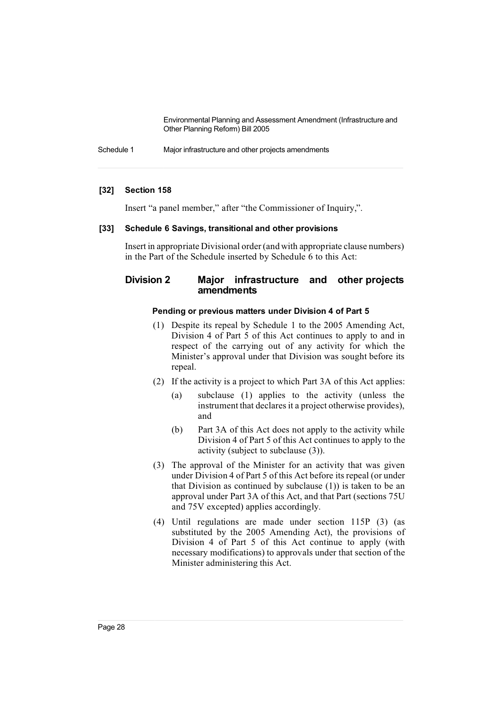Schedule 1 Major infrastructure and other projects amendments

# **[32] Section 158**

Insert "a panel member," after "the Commissioner of Inquiry,".

#### **[33] Schedule 6 Savings, transitional and other provisions**

Insert in appropriate Divisional order (and with appropriate clause numbers) in the Part of the Schedule inserted by Schedule 6 to this Act:

# **Division 2 Major infrastructure and other projects amendments**

#### **Pending or previous matters under Division 4 of Part 5**

- (1) Despite its repeal by Schedule 1 to the 2005 Amending Act, Division 4 of Part 5 of this Act continues to apply to and in respect of the carrying out of any activity for which the Minister's approval under that Division was sought before its repeal.
- (2) If the activity is a project to which Part 3A of this Act applies:
	- (a) subclause (1) applies to the activity (unless the instrument that declares it a project otherwise provides), and
	- (b) Part 3A of this Act does not apply to the activity while Division 4 of Part 5 of this Act continues to apply to the activity (subject to subclause (3)).
- (3) The approval of the Minister for an activity that was given under Division 4 of Part 5 of this Act before its repeal (or under that Division as continued by subclause (1)) is taken to be an approval under Part 3A of this Act, and that Part (sections 75U and 75V excepted) applies accordingly.
- (4) Until regulations are made under section 115P (3) (as substituted by the 2005 Amending Act), the provisions of Division 4 of Part 5 of this Act continue to apply (with necessary modifications) to approvals under that section of the Minister administering this Act.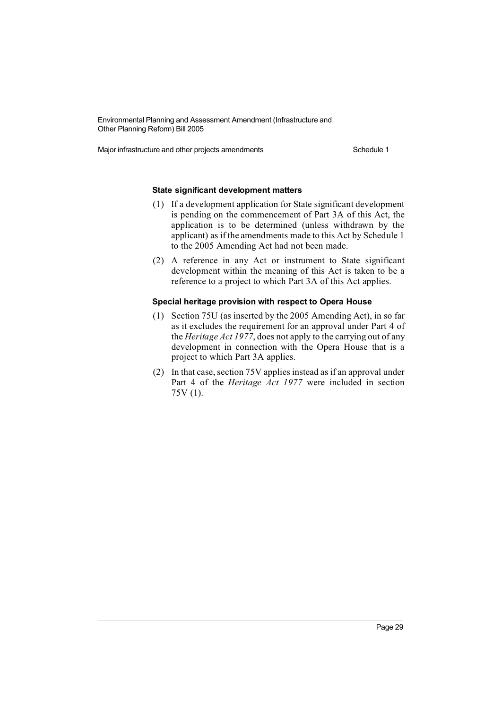Major infrastructure and other projects amendments Schedule 1

### **State significant development matters**

- (1) If a development application for State significant development is pending on the commencement of Part 3A of this Act, the application is to be determined (unless withdrawn by the applicant) as if the amendments made to this Act by Schedule 1 to the 2005 Amending Act had not been made.
- (2) A reference in any Act or instrument to State significant development within the meaning of this Act is taken to be a reference to a project to which Part 3A of this Act applies.

#### **Special heritage provision with respect to Opera House**

- (1) Section 75U (as inserted by the 2005 Amending Act), in so far as it excludes the requirement for an approval under Part 4 of the *Heritage Act 1977*, does not apply to the carrying out of any development in connection with the Opera House that is a project to which Part 3A applies.
- (2) In that case, section 75V applies instead as if an approval under Part 4 of the *Heritage Act 1977* were included in section 75V (1).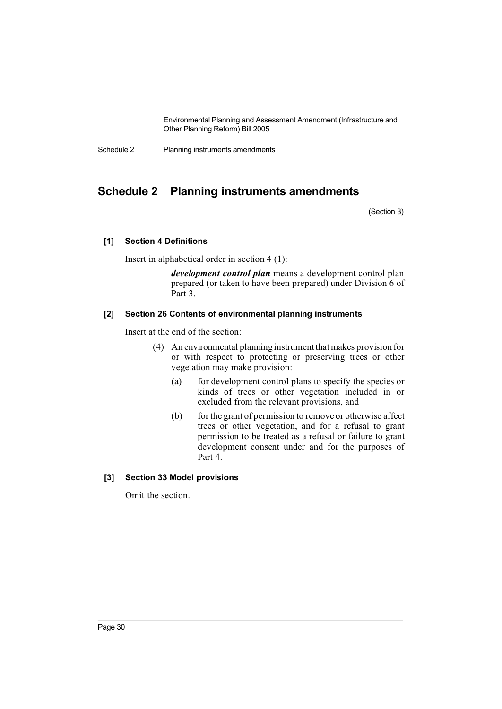Schedule 2 Planning instruments amendments

# **Schedule 2 Planning instruments amendments**

(Section 3)

#### **[1] Section 4 Definitions**

Insert in alphabetical order in section 4 (1):

*development control plan* means a development control plan prepared (or taken to have been prepared) under Division 6 of Part 3.

#### **[2] Section 26 Contents of environmental planning instruments**

Insert at the end of the section:

- (4) An environmental planning instrumentthat makes provision for or with respect to protecting or preserving trees or other vegetation may make provision:
	- (a) for development control plans to specify the species or kinds of trees or other vegetation included in or excluded from the relevant provisions, and
	- (b) for the grant of permission to remove or otherwise affect trees or other vegetation, and for a refusal to grant permission to be treated as a refusal or failure to grant development consent under and for the purposes of Part 4.

# **[3] Section 33 Model provisions**

Omit the section.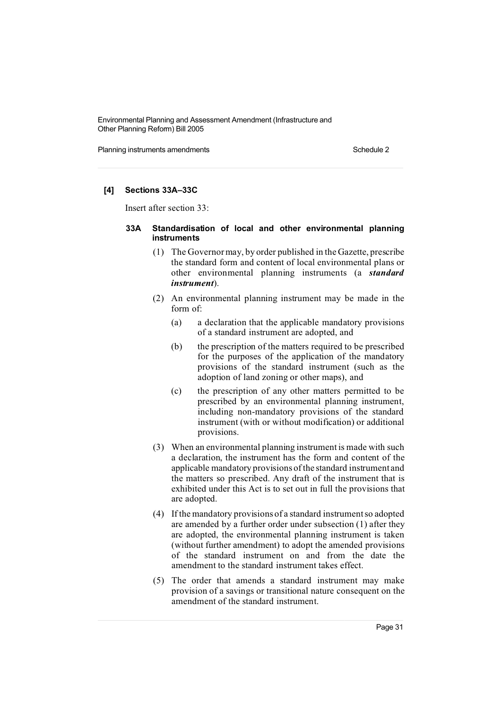Planning instruments amendments **Schedule 2** Schedule 2

# **[4] Sections 33A–33C**

Insert after section 33:

# **33A Standardisation of local and other environmental planning instruments**

- (1) The Governormay, by order published in the Gazette, prescribe the standard form and content of local environmental plans or other environmental planning instruments (a *standard instrument*).
- (2) An environmental planning instrument may be made in the form of:
	- (a) a declaration that the applicable mandatory provisions of a standard instrument are adopted, and
	- (b) the prescription of the matters required to be prescribed for the purposes of the application of the mandatory provisions of the standard instrument (such as the adoption of land zoning or other maps), and
	- (c) the prescription of any other matters permitted to be prescribed by an environmental planning instrument, including non-mandatory provisions of the standard instrument (with or without modification) or additional provisions.
- (3) When an environmental planning instrument is made with such a declaration, the instrument has the form and content of the applicable mandatory provisions ofthe standard instrument and the matters so prescribed. Any draft of the instrument that is exhibited under this Act is to set out in full the provisions that are adopted.
- (4) If the mandatory provisions of a standard instrumentso adopted are amended by a further order under subsection (1) after they are adopted, the environmental planning instrument is taken (without further amendment) to adopt the amended provisions of the standard instrument on and from the date the amendment to the standard instrument takes effect.
- (5) The order that amends a standard instrument may make provision of a savings or transitional nature consequent on the amendment of the standard instrument.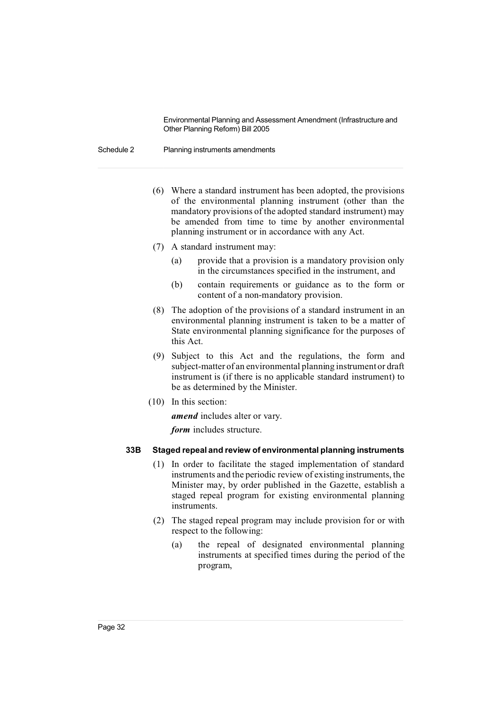Schedule 2 Planning instruments amendments

- (6) Where a standard instrument has been adopted, the provisions of the environmental planning instrument (other than the mandatory provisions of the adopted standard instrument) may be amended from time to time by another environmental planning instrument or in accordance with any Act.
- (7) A standard instrument may:
	- (a) provide that a provision is a mandatory provision only in the circumstances specified in the instrument, and
	- (b) contain requirements or guidance as to the form or content of a non-mandatory provision.
- (8) The adoption of the provisions of a standard instrument in an environmental planning instrument is taken to be a matter of State environmental planning significance for the purposes of this Act.
- (9) Subject to this Act and the regulations, the form and subject-matter of an environmental planning instrumentor draft instrument is (if there is no applicable standard instrument) to be as determined by the Minister.
- (10) In this section:

*amend* includes alter or vary.

*form* includes structure.

#### **33B Staged repeal and review of environmental planning instruments**

- (1) In order to facilitate the staged implementation of standard instruments and the periodic review of existing instruments, the Minister may, by order published in the Gazette, establish a staged repeal program for existing environmental planning instruments.
- (2) The staged repeal program may include provision for or with respect to the following:
	- (a) the repeal of designated environmental planning instruments at specified times during the period of the program,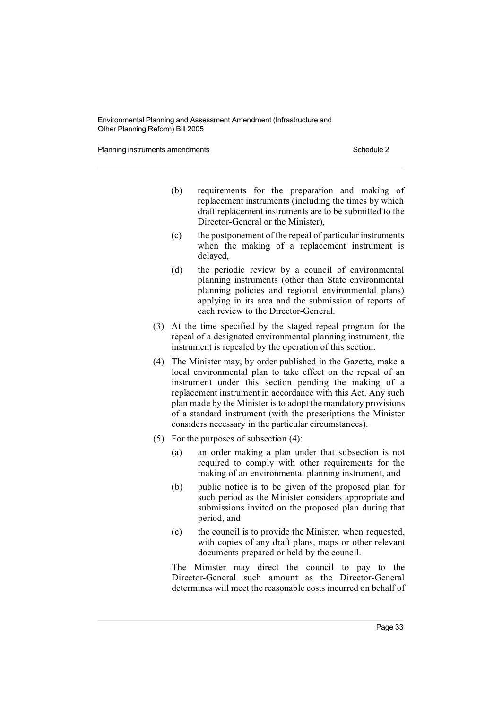Planning instruments amendments **Schedule 2** Schedule 2

- (b) requirements for the preparation and making of replacement instruments (including the times by which draft replacement instruments are to be submitted to the Director-General or the Minister),
- (c) the postponement of the repeal of particular instruments when the making of a replacement instrument is delayed,
- (d) the periodic review by a council of environmental planning instruments (other than State environmental planning policies and regional environmental plans) applying in its area and the submission of reports of each review to the Director-General.
- (3) At the time specified by the staged repeal program for the repeal of a designated environmental planning instrument, the instrument is repealed by the operation of this section.
- (4) The Minister may, by order published in the Gazette, make a local environmental plan to take effect on the repeal of an instrument under this section pending the making of a replacement instrument in accordance with this Act. Any such plan made by the Minister is to adopt the mandatory provisions of a standard instrument (with the prescriptions the Minister considers necessary in the particular circumstances).
- (5) For the purposes of subsection (4):
	- (a) an order making a plan under that subsection is not required to comply with other requirements for the making of an environmental planning instrument, and
	- (b) public notice is to be given of the proposed plan for such period as the Minister considers appropriate and submissions invited on the proposed plan during that period, and
	- (c) the council is to provide the Minister, when requested, with copies of any draft plans, maps or other relevant documents prepared or held by the council.

The Minister may direct the council to pay to the Director-General such amount as the Director-General determines will meet the reasonable costs incurred on behalf of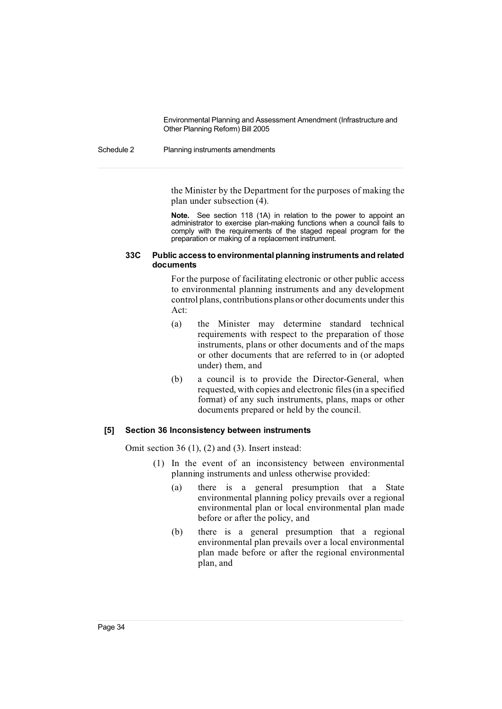#### Schedule 2 Planning instruments amendments

the Minister by the Department for the purposes of making the plan under subsection (4).

**Note.** See section 118 (1A) in relation to the power to appoint an administrator to exercise plan-making functions when a council fails to comply with the requirements of the staged repeal program for the preparation or making of a replacement instrument.

#### **33C Public access to environmentalplanning instruments and related documents**

For the purpose of facilitating electronic or other public access to environmental planning instruments and any development control plans, contributions plans or other documents under this Act:

- (a) the Minister may determine standard technical requirements with respect to the preparation of those instruments, plans or other documents and of the maps or other documents that are referred to in (or adopted under) them, and
- (b) a council is to provide the Director-General, when requested, with copies and electronic files(in a specified format) of any such instruments, plans, maps or other documents prepared or held by the council.

#### **[5] Section 36 Inconsistency between instruments**

Omit section 36 (1), (2) and (3). Insert instead:

- (1) In the event of an inconsistency between environmental planning instruments and unless otherwise provided:
	- (a) there is a general presumption that a State environmental planning policy prevails over a regional environmental plan or local environmental plan made before or after the policy, and
	- (b) there is a general presumption that a regional environmental plan prevails over a local environmental plan made before or after the regional environmental plan, and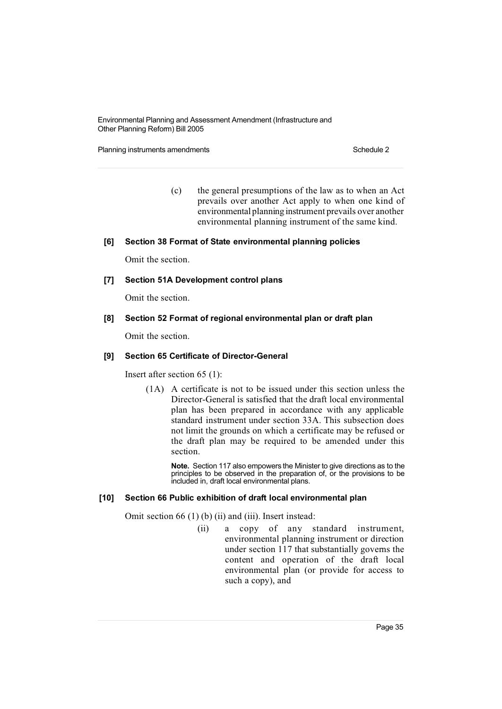Planning instruments amendments **Schedule 2** Schedule 2

(c) the general presumptions of the law as to when an Act prevails over another Act apply to when one kind of environmental planning instrument prevails over another environmental planning instrument of the same kind.

#### **[6] Section 38 Format of State environmental planning policies**

Omit the section.

#### **[7] Section 51A Development control plans**

Omit the section.

# **[8] Section 52 Format of regional environmental plan or draft plan**

Omit the section.

#### **[9] Section 65 Certificate of Director-General**

Insert after section 65 (1):

(1A) A certificate is not to be issued under this section unless the Director-General is satisfied that the draft local environmental plan has been prepared in accordance with any applicable standard instrument under section 33A. This subsection does not limit the grounds on which a certificate may be refused or the draft plan may be required to be amended under this section.

**Note.** Section 117 also empowers the Minister to give directions as to the principles to be observed in the preparation of, or the provisions to be included in, draft local environmental plans.

#### **[10] Section 66 Public exhibition of draft local environmental plan**

Omit section 66 (1) (b) (ii) and (iii). Insert instead:

(ii) a copy of any standard instrument, environmental planning instrument or direction under section 117 that substantially governs the content and operation of the draft local environmental plan (or provide for access to such a copy), and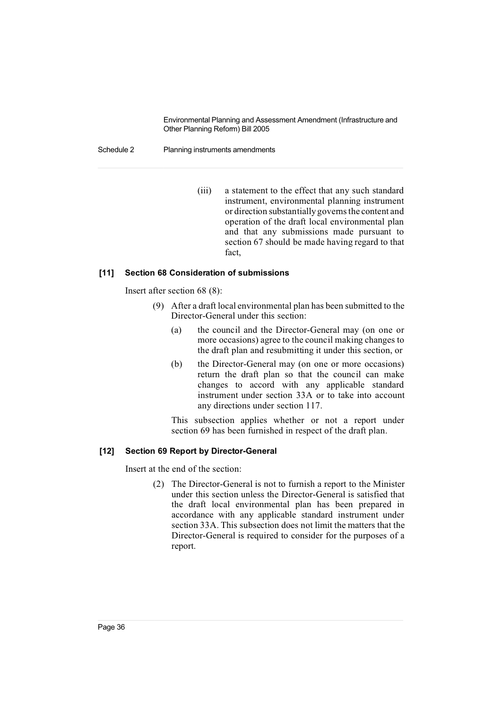#### Schedule 2 Planning instruments amendments

(iii) a statement to the effect that any such standard instrument, environmental planning instrument or direction substantially governs the content and operation of the draft local environmental plan and that any submissions made pursuant to section 67 should be made having regard to that fact,

## **[11] Section 68 Consideration of submissions**

Insert after section 68 (8):

- (9) After a draft local environmental plan has been submitted to the Director-General under this section:
	- (a) the council and the Director-General may (on one or more occasions) agree to the council making changes to the draft plan and resubmitting it under this section, or
	- (b) the Director-General may (on one or more occasions) return the draft plan so that the council can make changes to accord with any applicable standard instrument under section 33A or to take into account any directions under section 117.

This subsection applies whether or not a report under section 69 has been furnished in respect of the draft plan.

#### **[12] Section 69 Report by Director-General**

Insert at the end of the section:

(2) The Director-General is not to furnish a report to the Minister under this section unless the Director-General is satisfied that the draft local environmental plan has been prepared in accordance with any applicable standard instrument under section 33A. This subsection does not limit the matters that the Director-General is required to consider for the purposes of a report.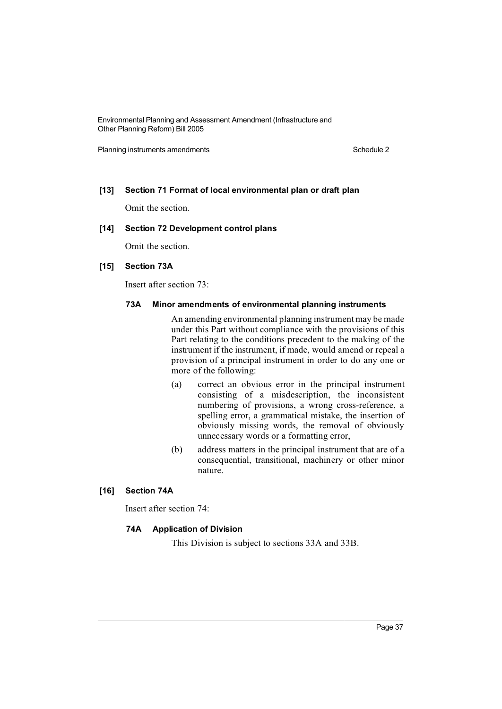Planning instruments amendments **Schedule 2** Schedule 2

## **[13] Section 71 Format of local environmental plan or draft plan**

Omit the section.

## **[14] Section 72 Development control plans**

Omit the section.

#### **[15] Section 73A**

Insert after section 73:

#### **73A Minor amendments of environmental planning instruments**

An amending environmental planning instrument may be made under this Part without compliance with the provisions of this Part relating to the conditions precedent to the making of the instrument if the instrument, if made, would amend or repeal a provision of a principal instrument in order to do any one or more of the following:

- (a) correct an obvious error in the principal instrument consisting of a misdescription, the inconsistent numbering of provisions, a wrong cross-reference, a spelling error, a grammatical mistake, the insertion of obviously missing words, the removal of obviously unnecessary words or a formatting error,
- (b) address matters in the principal instrument that are of a consequential, transitional, machinery or other minor nature.

## **[16] Section 74A**

Insert after section 74:

#### **74A Application of Division**

This Division is subject to sections 33A and 33B.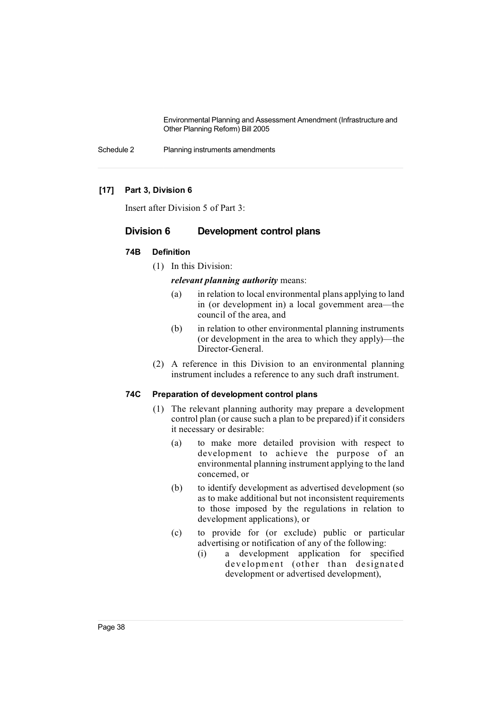Schedule 2 Planning instruments amendments

## **[17] Part 3, Division 6**

Insert after Division 5 of Part 3:

# **Division 6 Development control plans**

## **74B Definition**

(1) In this Division:

#### *relevant planning authority* means:

- (a) in relation to local environmental plans applying to land in (or development in) a local government area—the council of the area, and
- (b) in relation to other environmental planning instruments (or development in the area to which they apply)—the Director-General.
- (2) A reference in this Division to an environmental planning instrument includes a reference to any such draft instrument.

## **74C Preparation of development control plans**

- (1) The relevant planning authority may prepare a development control plan (or cause such a plan to be prepared) if it considers it necessary or desirable:
	- (a) to make more detailed provision with respect to development to achieve the purpose of an environmental planning instrument applying to the land concerned, or
	- (b) to identify development as advertised development (so as to make additional but not inconsistent requirements to those imposed by the regulations in relation to development applications), or
	- (c) to provide for (or exclude) public or particular advertising or notification of any of the following:
		- (i) a development application for specified development (other than designated development or advertised development),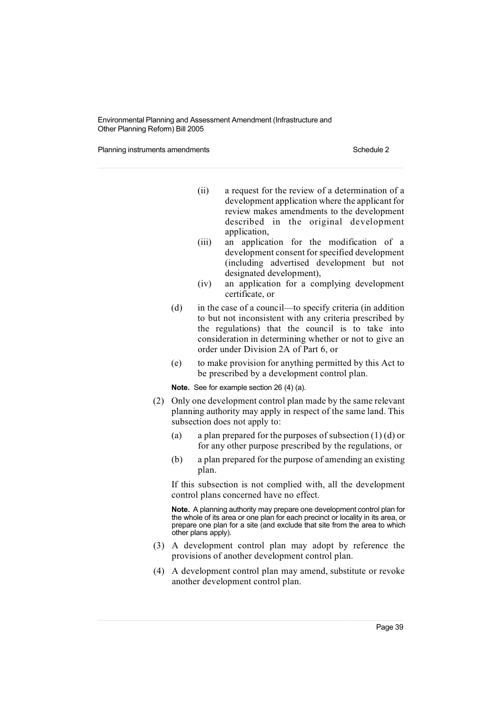Planning instruments amendments **Schedule 2** Schedule 2

- (ii) a request for the review of a determination of a development application where the applicant for review makes amendments to the development described in the original development application,
- (iii) an application for the modification of a development consent for specified development (including advertised development but not designated development),
- (iv) an application for a complying development certificate, or
- (d) in the case of a council—to specify criteria (in addition to but not inconsistent with any criteria prescribed by the regulations) that the council is to take into consideration in determining whether or not to give an order under Division 2A of Part 6, or
- (e) to make provision for anything permitted by this Act to be prescribed by a development control plan.

**Note.** See for example section 26 (4) (a).

- (2) Only one development control plan made by the same relevant planning authority may apply in respect of the same land. This subsection does not apply to:
	- (a) a plan prepared for the purposes of subsection  $(1)$  (d) or for any other purpose prescribed by the regulations, or
	- (b) a plan prepared for the purpose of amending an existing plan.

If this subsection is not complied with, all the development control plans concerned have no effect.

**Note.** A planning authority may prepare one development control plan for the whole of its area or one plan for each precinct or locality in its area, or prepare one plan for a site (and exclude that site from the area to which other plans apply).

- (3) A development control plan may adopt by reference the provisions of another development control plan.
- (4) A development control plan may amend, substitute or revoke another development control plan.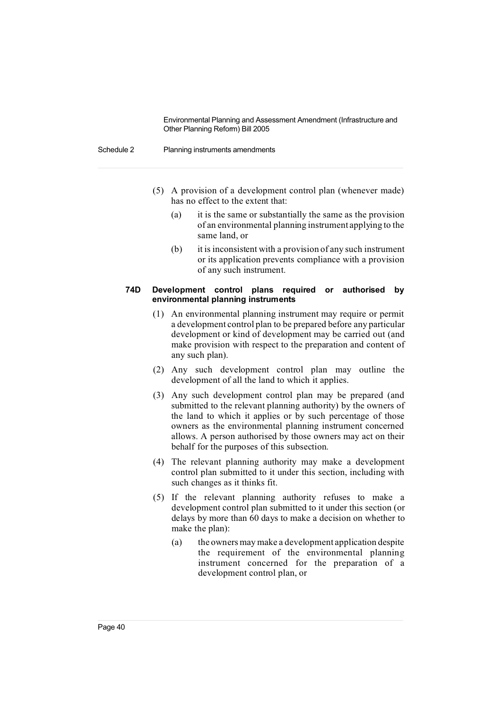#### Schedule 2 Planning instruments amendments

- (5) A provision of a development control plan (whenever made) has no effect to the extent that:
	- (a) it is the same or substantially the same as the provision of an environmental planning instrument applying to the same land, or
	- (b) it is inconsistent with a provision of any such instrument or its application prevents compliance with a provision of any such instrument.

#### **74D Development control plans required or authorised by environmental planning instruments**

- (1) An environmental planning instrument may require or permit a development control plan to be prepared before any particular development or kind of development may be carried out (and make provision with respect to the preparation and content of any such plan).
- (2) Any such development control plan may outline the development of all the land to which it applies.
- (3) Any such development control plan may be prepared (and submitted to the relevant planning authority) by the owners of the land to which it applies or by such percentage of those owners as the environmental planning instrument concerned allows. A person authorised by those owners may act on their behalf for the purposes of this subsection.
- (4) The relevant planning authority may make a development control plan submitted to it under this section, including with such changes as it thinks fit.
- (5) If the relevant planning authority refuses to make a development control plan submitted to it under this section (or delays by more than 60 days to make a decision on whether to make the plan):
	- (a) the owners may make a development application despite the requirement of the environmental planning instrument concerned for the preparation of a development control plan, or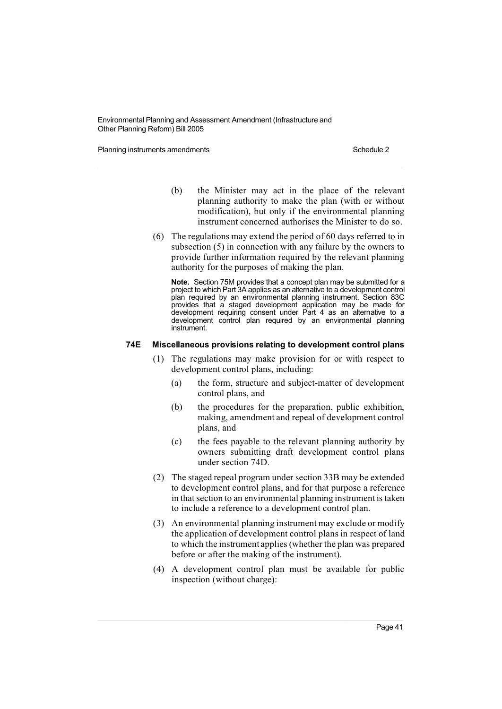Planning instruments amendments **Schedule 2** Schedule 2

- (b) the Minister may act in the place of the relevant planning authority to make the plan (with or without modification), but only if the environmental planning instrument concerned authorises the Minister to do so.
- (6) The regulations may extend the period of 60 days referred to in subsection (5) in connection with any failure by the owners to provide further information required by the relevant planning authority for the purposes of making the plan.

**Note.** Section 75M provides that a concept plan may be submitted for a project to which Part 3A applies as an alternative to a development control plan required by an environmental planning instrument. Section 83C provides that a staged development application may be made for development requiring consent under Part 4 as an alternative to a development control plan required by an environmental planning instrument.

#### **74E Miscellaneous provisions relating to development control plans**

- (1) The regulations may make provision for or with respect to development control plans, including:
	- (a) the form, structure and subject-matter of development control plans, and
	- (b) the procedures for the preparation, public exhibition, making, amendment and repeal of development control plans, and
	- (c) the fees payable to the relevant planning authority by owners submitting draft development control plans under section 74D.
- (2) The staged repeal program under section 33B may be extended to development control plans, and for that purpose a reference in that section to an environmental planning instrument is taken to include a reference to a development control plan.
- (3) An environmental planning instrument may exclude or modify the application of development control plans in respect of land to which the instrument applies(whether the plan was prepared before or after the making of the instrument).
- (4) A development control plan must be available for public inspection (without charge):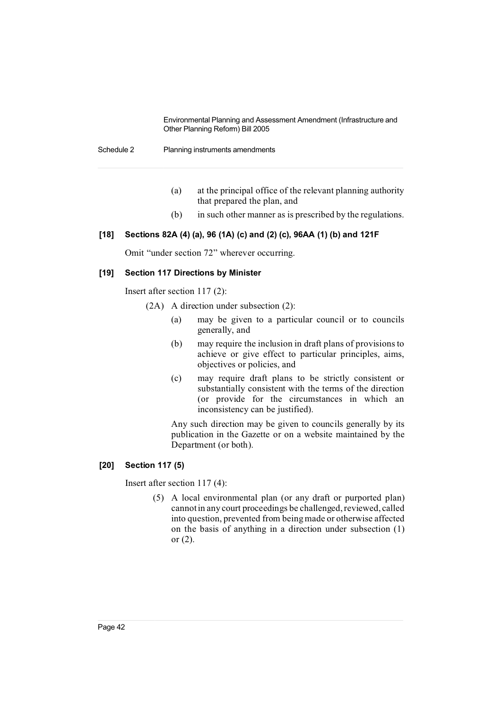Schedule 2 Planning instruments amendments

- (a) at the principal office of the relevant planning authority that prepared the plan, and
- (b) in such other manner as is prescribed by the regulations.

## **[18] Sections 82A (4) (a), 96 (1A) (c) and (2) (c), 96AA (1) (b) and 121F**

Omit "under section 72" wherever occurring.

## **[19] Section 117 Directions by Minister**

Insert after section 117 (2):

- (2A) A direction under subsection (2):
	- (a) may be given to a particular council or to councils generally, and
	- (b) may require the inclusion in draft plans of provisions to achieve or give effect to particular principles, aims, objectives or policies, and
	- (c) may require draft plans to be strictly consistent or substantially consistent with the terms of the direction (or provide for the circumstances in which an inconsistency can be justified).

Any such direction may be given to councils generally by its publication in the Gazette or on a website maintained by the Department (or both).

# **[20] Section 117 (5)**

Insert after section 117 (4):

(5) A local environmental plan (or any draft or purported plan) cannot in any court proceedings be challenged, reviewed, called into question, prevented from beingmade or otherwise affected on the basis of anything in a direction under subsection (1) or (2).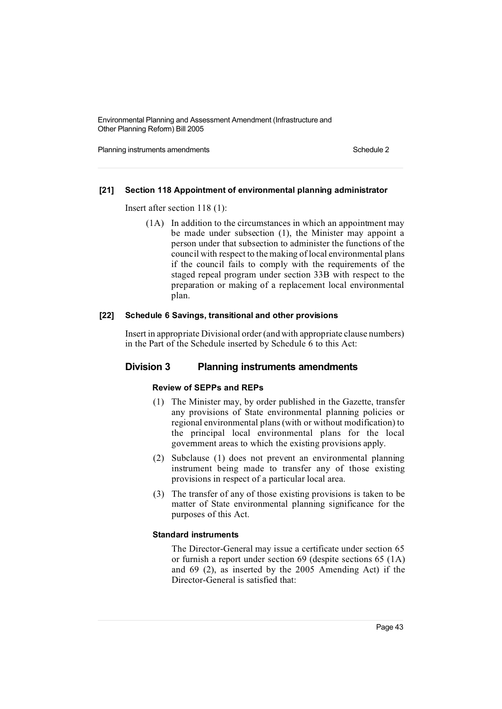Planning instruments amendments **Schedule 2** Schedule 2

#### **[21] Section 118 Appointment of environmental planning administrator**

Insert after section 118 (1):

(1A) In addition to the circumstances in which an appointment may be made under subsection (1), the Minister may appoint a person under that subsection to administer the functions of the council with respect to the making of local environmental plans if the council fails to comply with the requirements of the staged repeal program under section 33B with respect to the preparation or making of a replacement local environmental plan.

#### **[22] Schedule 6 Savings, transitional and other provisions**

Insert in appropriate Divisional order (and with appropriate clause numbers) in the Part of the Schedule inserted by Schedule 6 to this Act:

# **Division 3 Planning instruments amendments**

## **Review of SEPPs and REPs**

- (1) The Minister may, by order published in the Gazette, transfer any provisions of State environmental planning policies or regional environmental plans(with or without modification) to the principal local environmental plans for the local government areas to which the existing provisions apply.
- (2) Subclause (1) does not prevent an environmental planning instrument being made to transfer any of those existing provisions in respect of a particular local area.
- (3) The transfer of any of those existing provisions is taken to be matter of State environmental planning significance for the purposes of this Act.

#### **Standard instruments**

The Director-General may issue a certificate under section 65 or furnish a report under section 69 (despite sections 65 (1A) and 69 (2), as inserted by the 2005 Amending Act) if the Director-General is satisfied that: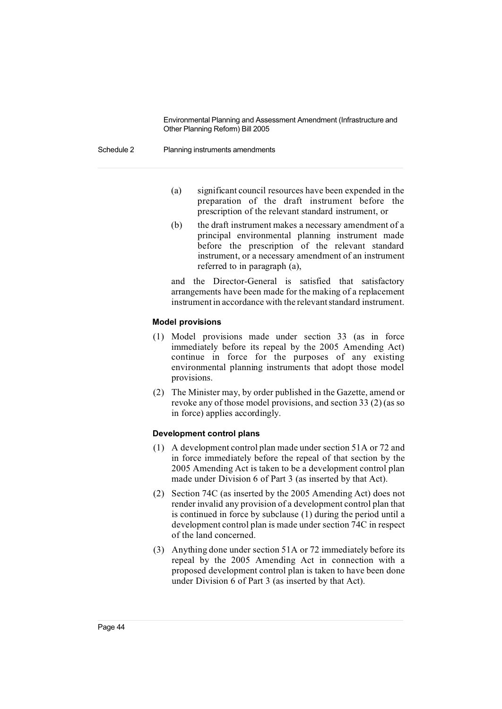#### Schedule 2 Planning instruments amendments

- (a) significant council resources have been expended in the preparation of the draft instrument before the prescription of the relevant standard instrument, or
- (b) the draft instrument makes a necessary amendment of a principal environmental planning instrument made before the prescription of the relevant standard instrument, or a necessary amendment of an instrument referred to in paragraph (a),

and the Director-General is satisfied that satisfactory arrangements have been made for the making of a replacement instrument in accordance with the relevantstandard instrument.

#### **Model provisions**

- (1) Model provisions made under section 33 (as in force immediately before its repeal by the 2005 Amending Act) continue in force for the purposes of any existing environmental planning instruments that adopt those model provisions.
- (2) The Minister may, by order published in the Gazette, amend or revoke any of those model provisions, and section 33 (2) (as so in force) applies accordingly.

#### **Development control plans**

- (1) A development control plan made under section 51A or 72 and in force immediately before the repeal of that section by the 2005 Amending Act is taken to be a development control plan made under Division 6 of Part 3 (as inserted by that Act).
- (2) Section 74C (as inserted by the 2005 Amending Act) does not render invalid any provision of a development control plan that is continued in force by subclause (1) during the period until a development control plan is made under section 74C in respect of the land concerned.
- (3) Anything done under section 51A or 72 immediately before its repeal by the 2005 Amending Act in connection with a proposed development control plan is taken to have been done under Division 6 of Part 3 (as inserted by that Act).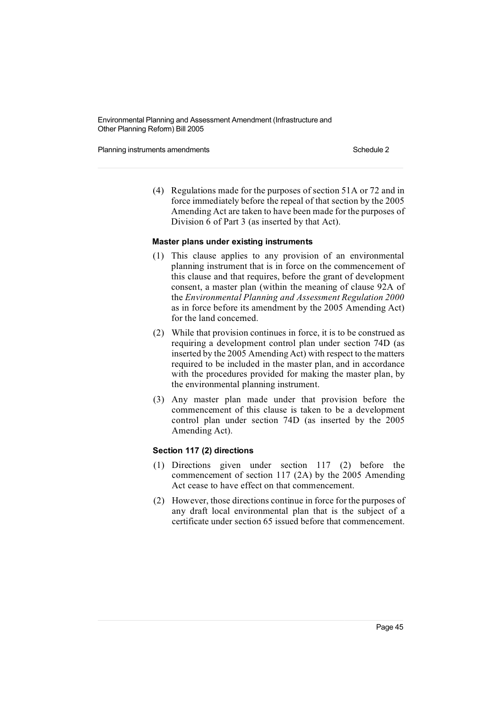Planning instruments amendments **Schedule 2** Schedule 2

(4) Regulations made for the purposes of section 51A or 72 and in force immediately before the repeal of that section by the 2005 Amending Act are taken to have been made for the purposes of Division 6 of Part 3 (as inserted by that Act).

#### **Master plans under existing instruments**

- (1) This clause applies to any provision of an environmental planning instrument that is in force on the commencement of this clause and that requires, before the grant of development consent, a master plan (within the meaning of clause 92A of the *Environmental Planning and Assessment Regulation 2000* as in force before its amendment by the 2005 Amending Act) for the land concerned.
- (2) While that provision continues in force, it is to be construed as requiring a development control plan under section 74D (as inserted by the 2005 Amending Act) with respect to the matters required to be included in the master plan, and in accordance with the procedures provided for making the master plan, by the environmental planning instrument.
- (3) Any master plan made under that provision before the commencement of this clause is taken to be a development control plan under section 74D (as inserted by the 2005 Amending Act).

#### **Section 117 (2) directions**

- (1) Directions given under section 117 (2) before the commencement of section 117 (2A) by the 2005 Amending Act cease to have effect on that commencement.
- (2) However, those directions continue in force for the purposes of any draft local environmental plan that is the subject of a certificate under section 65 issued before that commencement.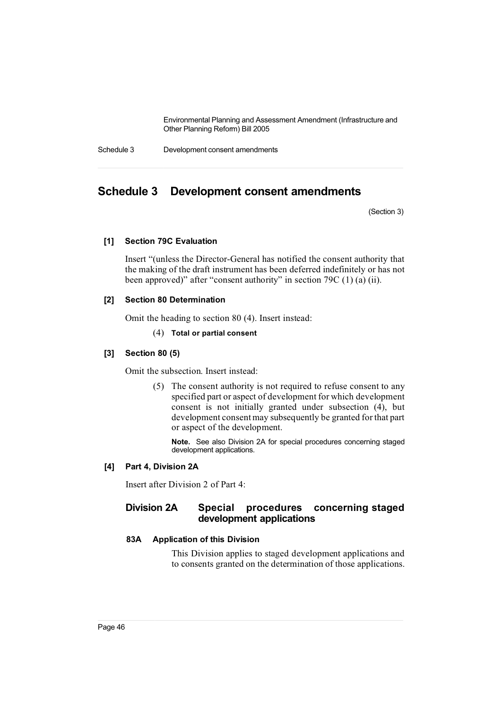Schedule 3 Development consent amendments

# **Schedule 3 Development consent amendments**

(Section 3)

## **[1] Section 79C Evaluation**

Insert "(unless the Director-General has notified the consent authority that the making of the draft instrument has been deferred indefinitely or has not been approved)" after "consent authority" in section 79C (1) (a) (ii).

#### **[2] Section 80 Determination**

Omit the heading to section 80 (4). Insert instead:

#### (4) **Total or partial consent**

#### **[3] Section 80 (5)**

Omit the subsection. Insert instead:

(5) The consent authority is not required to refuse consent to any specified part or aspect of development for which development consent is not initially granted under subsection (4), but development consentmay subsequently be granted for that part or aspect of the development.

**Note.** See also Division 2A for special procedures concerning staged development applications.

#### **[4] Part 4, Division 2A**

Insert after Division 2 of Part 4:

# **Division 2A Special procedures concerning staged development applications**

# **83A Application of this Division**

This Division applies to staged development applications and to consents granted on the determination of those applications.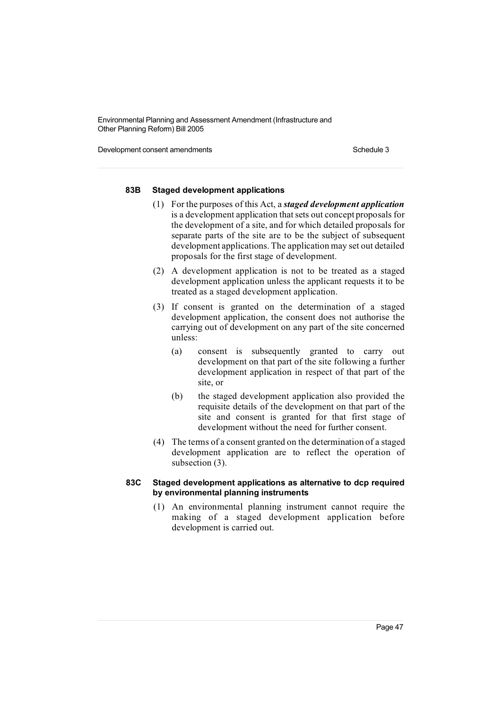Development consent amendments Schedule 3

### **83B Staged development applications**

- (1) For the purposes of this Act, a *staged development application* is a development application that sets out concept proposals for the development of a site, and for which detailed proposals for separate parts of the site are to be the subject of subsequent development applications. The application may set out detailed proposals for the first stage of development.
- (2) A development application is not to be treated as a staged development application unless the applicant requests it to be treated as a staged development application.
- (3) If consent is granted on the determination of a staged development application, the consent does not authorise the carrying out of development on any part of the site concerned unless:
	- (a) consent is subsequently granted to carry out development on that part of the site following a further development application in respect of that part of the site, or
	- (b) the staged development application also provided the requisite details of the development on that part of the site and consent is granted for that first stage of development without the need for further consent.
- (4) The terms of a consent granted on the determination of a staged development application are to reflect the operation of subsection (3).

#### **83C Staged development applications as alternative to dcp required by environmental planning instruments**

(1) An environmental planning instrument cannot require the making of a staged development application before development is carried out.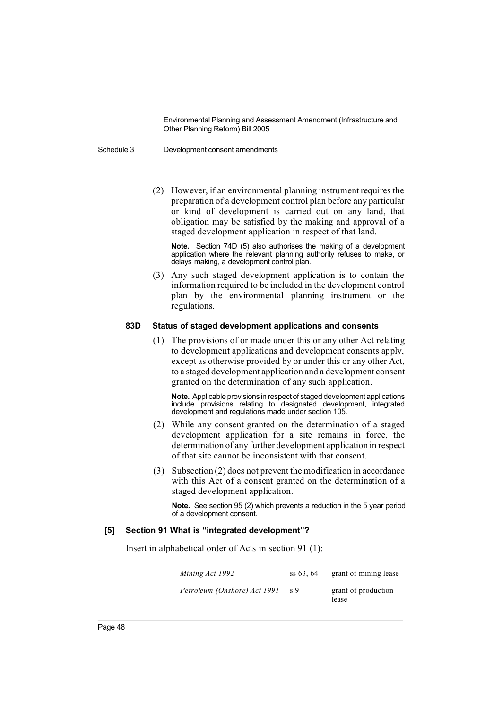#### Schedule 3 Development consent amendments

 $(2)$  However, if an environmental planning instrument requires the preparation of a development control plan before any particular or kind of development is carried out on any land, that obligation may be satisfied by the making and approval of a staged development application in respect of that land.

**Note.** Section 74D (5) also authorises the making of a development application where the relevant planning authority refuses to make, or delays making, a development control plan.

(3) Any such staged development application is to contain the information required to be included in the development control plan by the environmental planning instrument or the regulations.

#### **83D Status of staged development applications and consents**

(1) The provisions of or made under this or any other Act relating to development applications and development consents apply, except as otherwise provided by or under this or any other Act, to a staged development application and a development consent granted on the determination of any such application.

**Note.** Applicable provisions in respect of staged development applications include provisions relating to designated development, integrated development and regulations made under section 105.

- (2) While any consent granted on the determination of a staged development application for a site remains in force, the determination of any further development application in respect of that site cannot be inconsistent with that consent.
- (3) Subsection (2) does not prevent the modification in accordance with this Act of a consent granted on the determination of a staged development application.

**Note.** See section 95 (2) which prevents a reduction in the 5 year period of a development consent.

#### **[5] Section 91 What is "integrated development"?**

Insert in alphabetical order of Acts in section 91 (1):

*Mining Act* 1992 ss 63, 64 grant of mining lease *Petroleum (Onshore) Act 1991* s 9 grant of production lease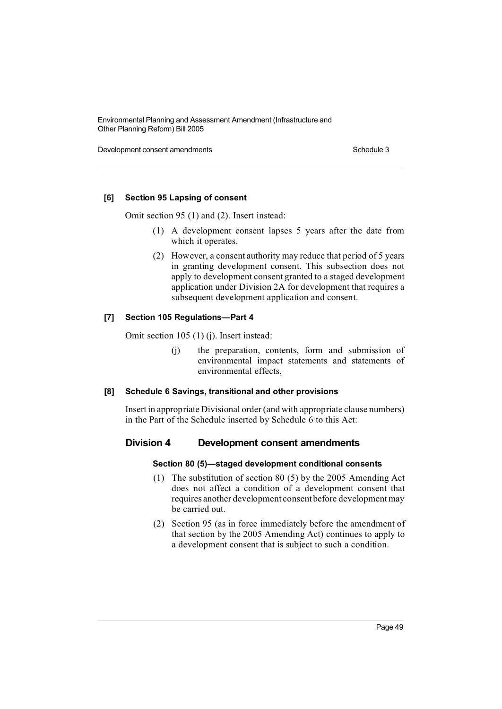Development consent amendments Schedule 3

## **[6] Section 95 Lapsing of consent**

Omit section 95 (1) and (2). Insert instead:

- (1) A development consent lapses 5 years after the date from which it operates.
- (2) However, a consent authority may reduce that period of 5 years in granting development consent. This subsection does not apply to development consent granted to a staged development application under Division 2A for development that requires a subsequent development application and consent.

## **[7] Section 105 Regulations—Part 4**

Omit section 105 (1) (j). Insert instead:

(j) the preparation, contents, form and submission of environmental impact statements and statements of environmental effects,

#### **[8] Schedule 6 Savings, transitional and other provisions**

Insert in appropriate Divisional order (and with appropriate clause numbers) in the Part of the Schedule inserted by Schedule 6 to this Act:

#### **Division 4 Development consent amendments**

#### **Section 80 (5)—staged development conditional consents**

- (1) The substitution of section 80 (5) by the 2005 Amending Act does not affect a condition of a development consent that requires another development consent before development may be carried out.
- (2) Section 95 (as in force immediately before the amendment of that section by the 2005 Amending Act) continues to apply to a development consent that is subject to such a condition.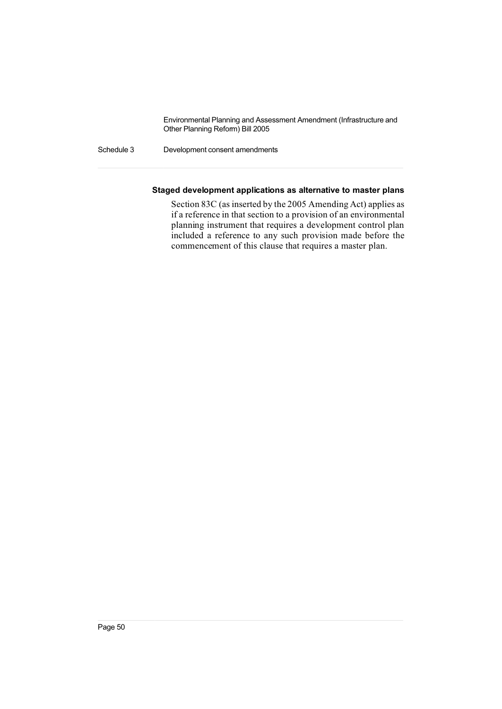Schedule 3 Development consent amendments

### **Staged development applications as alternative to master plans**

Section 83C (as inserted by the 2005 Amending Act) applies as if a reference in that section to a provision of an environmental planning instrument that requires a development control plan included a reference to any such provision made before the commencement of this clause that requires a master plan.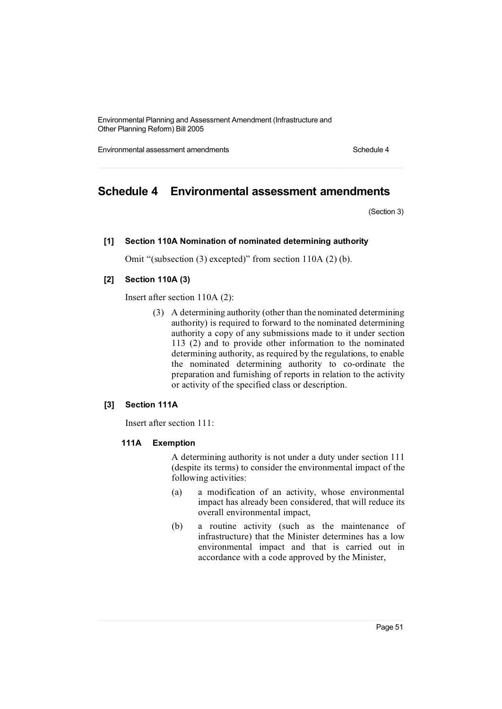Environmental assessment amendments **Schedule 4** and the schedule 4

# **Schedule 4 Environmental assessment amendments**

(Section 3)

#### **[1] Section 110A Nomination of nominated determining authority**

Omit "(subsection (3) excepted)" from section 110A (2) (b).

#### **[2] Section 110A (3)**

Insert after section 110A (2):

(3) A determining authority (other than the nominated determining authority) is required to forward to the nominated determining authority a copy of any submissions made to it under section 113 (2) and to provide other information to the nominated determining authority, as required by the regulations, to enable the nominated determining authority to co-ordinate the preparation and furnishing of reports in relation to the activity or activity of the specified class or description.

#### **[3] Section 111A**

Insert after section 111:

#### **111A Exemption**

A determining authority is not under a duty under section 111 (despite its terms) to consider the environmental impact of the following activities:

- (a) a modification of an activity, whose environmental impact has already been considered, that will reduce its overall environmental impact,
- (b) a routine activity (such as the maintenance of infrastructure) that the Minister determines has a low environmental impact and that is carried out in accordance with a code approved by the Minister,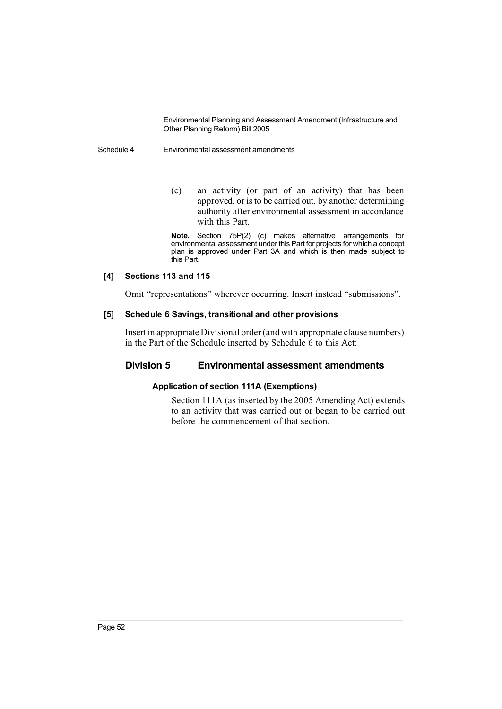#### Schedule 4 Environmental assessment amendments

(c) an activity (or part of an activity) that has been approved, or isto be carried out, by another determining authority after environmental assessment in accordance with this Part.

**Note.** Section 75P(2) (c) makes alternative arrangements for environmental assessment under this Part for projects for which a concept plan is approved under Part 3A and which is then made subject to this Part.

#### **[4] Sections 113 and 115**

Omit "representations" wherever occurring. Insert instead "submissions".

#### **[5] Schedule 6 Savings, transitional and other provisions**

Insert in appropriate Divisional order (and with appropriate clause numbers) in the Part of the Schedule inserted by Schedule 6 to this Act:

# **Division 5 Environmental assessment amendments**

# **Application of section 111A (Exemptions)**

Section 111A (as inserted by the 2005 Amending Act) extends to an activity that was carried out or began to be carried out before the commencement of that section.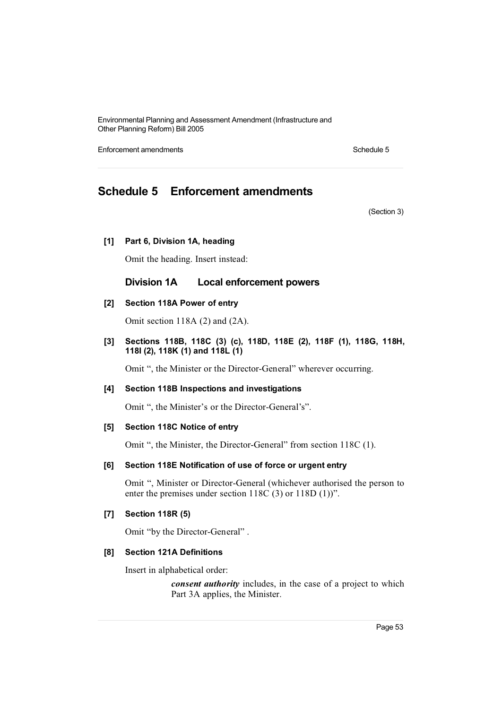Enforcement amendments **Schedule 5** Schedule 5

# **Schedule 5 Enforcement amendments**

(Section 3)

#### **[1] Part 6, Division 1A, heading**

Omit the heading. Insert instead:

# **Division 1A Local enforcement powers**

## **[2] Section 118A Power of entry**

Omit section 118A (2) and (2A).

**[3] Sections 118B, 118C (3) (c), 118D, 118E (2), 118F (1), 118G, 118H, 118I (2), 118K (1) and 118L (1)**

Omit ", the Minister or the Director-General" wherever occurring.

#### **[4] Section 118B Inspections and investigations**

Omit ", the Minister's or the Director-General's".

#### **[5] Section 118C Notice of entry**

Omit ", the Minister, the Director-General" from section 118C (1).

#### **[6] Section 118E Notification of use of force or urgent entry**

Omit ", Minister or Director-General (whichever authorised the person to enter the premises under section 118C (3) or 118D (1))".

#### **[7] Section 118R (5)**

Omit "by the Director-General" .

#### **[8] Section 121A Definitions**

Insert in alphabetical order:

*consent authority* includes, in the case of a project to which Part 3A applies, the Minister.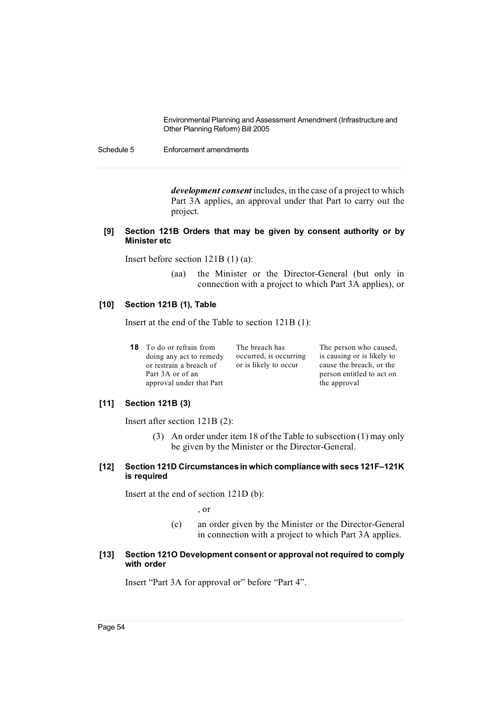Schedule 5 Enforcement amendments

*development consent* includes, in the case of a project to which Part 3A applies, an approval under that Part to carry out the project.

#### **[9] Section 121B Orders that may be given by consent authority or by Minister etc**

Insert before section 121B (1) (a):

(aa) the Minister or the Director-General (but only in connection with a project to which Part 3A applies), or

#### **[10] Section 121B (1), Table**

Insert at the end of the Table to section 121B (1):

| 18 | To do or refrain from    | The 1 |
|----|--------------------------|-------|
|    | doing any act to remedy  | occu  |
|    | or restrain a breach of  | or is |
|    | Part 3A or of an         |       |
|    | approval under that Part |       |

breach has rred, is occurring likely to occur

The person who caused, is causing or is likely to cause the breach, or the person entitled to act on the approval

# **[11] Section 121B (3)**

Insert after section 121B (2):

(3) An order under item 18 of the Table to subsection (1) may only be given by the Minister or the Director-General.

#### **[12] Section 121D Circumstances in which compliance with secs 121F–121K is required**

Insert at the end of section 121D (b):

, or

(c) an order given by the Minister or the Director-General in connection with a project to which Part 3A applies.

#### **[13] Section 121O Development consent or approval not required to comply with order**

Insert "Part 3A for approval or" before "Part 4".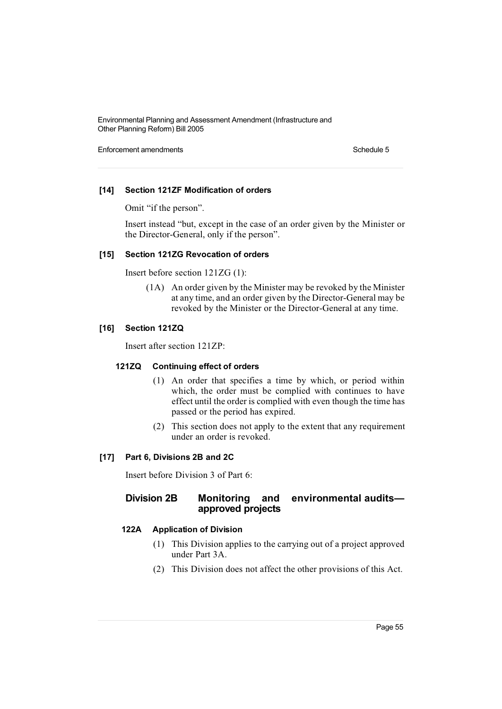Enforcement amendments **Schedule 5** Schedule 5

## **[14] Section 121ZF Modification of orders**

Omit "if the person".

Insert instead "but, except in the case of an order given by the Minister or the Director-General, only if the person".

#### **[15] Section 121ZG Revocation of orders**

Insert before section 121ZG (1):

(1A) An order given by the Minister may be revoked by the Minister at any time, and an order given by the Director-General may be revoked by the Minister or the Director-General at any time.

## **[16] Section 121ZQ**

Insert after section 121ZP:

#### **121ZQ Continuing effect of orders**

- (1) An order that specifies a time by which, or period within which, the order must be complied with continues to have effect until the order is complied with even though the time has passed or the period has expired.
- (2) This section does not apply to the extent that any requirement under an order is revoked.

## **[17] Part 6, Divisions 2B and 2C**

Insert before Division 3 of Part 6:

# **Division 2B Monitoring and environmental audits approved projects**

# **122A Application of Division**

- (1) This Division applies to the carrying out of a project approved under Part 3A.
- (2) This Division does not affect the other provisions of this Act.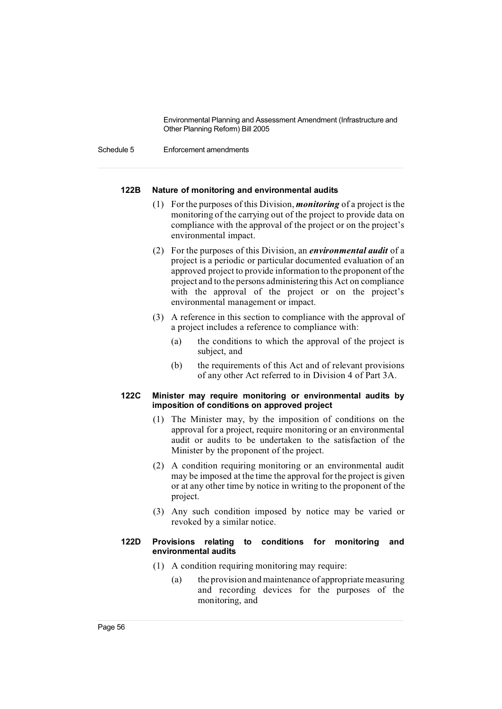Schedule 5 Enforcement amendments

## **122B Nature of monitoring and environmental audits**

- (1) Forthe purposes of this Division, *monitoring* of a project is the monitoring of the carrying out of the project to provide data on compliance with the approval of the project or on the project's environmental impact.
- (2) For the purposes of this Division, an *environmental audit* of a project is a periodic or particular documented evaluation of an approved project to provide information to the proponent of the project and to the persons administering this Act on compliance with the approval of the project or on the project's environmental management or impact.
- (3) A reference in this section to compliance with the approval of a project includes a reference to compliance with:
	- (a) the conditions to which the approval of the project is subject, and
	- (b) the requirements of this Act and of relevant provisions of any other Act referred to in Division 4 of Part 3A.

### **122C Minister may require monitoring or environmental audits by imposition of conditions on approved project**

- (1) The Minister may, by the imposition of conditions on the approval for a project, require monitoring or an environmental audit or audits to be undertaken to the satisfaction of the Minister by the proponent of the project.
- (2) A condition requiring monitoring or an environmental audit may be imposed at the time the approval for the project is given or at any other time by notice in writing to the proponent of the project.
- (3) Any such condition imposed by notice may be varied or revoked by a similar notice.

#### **122D Provisions relating to conditions for monitoring and environmental audits**

- (1) A condition requiring monitoring may require:
	- (a) the provision and maintenance of appropriate measuring and recording devices for the purposes of the monitoring, and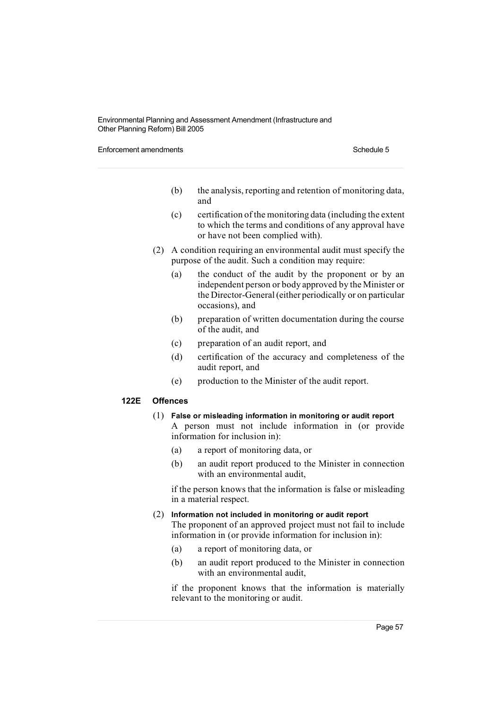Enforcement amendments **Schedule 5** and the state of the state of the Schedule 5

- (b) the analysis, reporting and retention of monitoring data, and
- (c) certification of the monitoring data (including the extent to which the terms and conditions of any approval have or have not been complied with).
- (2) A condition requiring an environmental audit must specify the purpose of the audit. Such a condition may require:
	- (a) the conduct of the audit by the proponent or by an independent person or body approved by the Minister or the Director-General(either periodically or on particular occasions), and
	- (b) preparation of written documentation during the course of the audit, and
	- (c) preparation of an audit report, and
	- (d) certification of the accuracy and completeness of the audit report, and
	- (e) production to the Minister of the audit report.

### **122E Offences**

- (1) **False or misleading information in monitoring or audit report** A person must not include information in (or provide information for inclusion in):
	- (a) a report of monitoring data, or
	- (b) an audit report produced to the Minister in connection with an environmental audit,

if the person knows that the information is false or misleading in a material respect.

(2) **Information not included in monitoring or audit report**

The proponent of an approved project must not fail to include information in (or provide information for inclusion in):

- (a) a report of monitoring data, or
- (b) an audit report produced to the Minister in connection with an environmental audit,

if the proponent knows that the information is materially relevant to the monitoring or audit.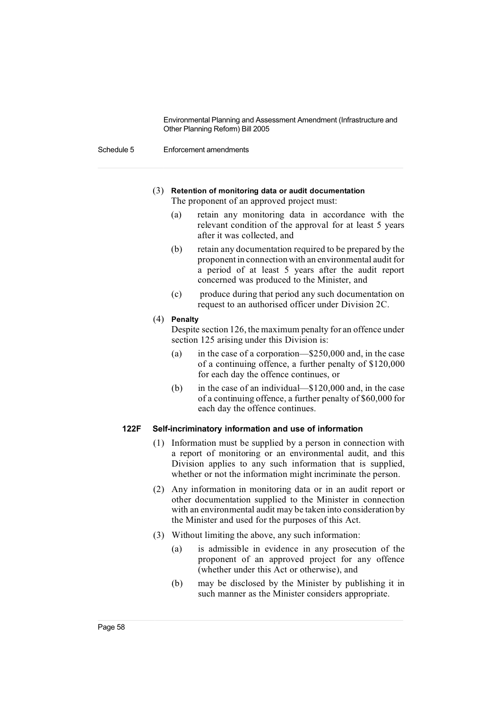Schedule 5 Enforcement amendments

- (3) **Retention of monitoring data or audit documentation** The proponent of an approved project must:
	- (a) retain any monitoring data in accordance with the relevant condition of the approval for at least 5 years after it was collected, and
	- (b) retain any documentation required to be prepared by the proponent in connectionwith an environmental audit for a period of at least 5 years after the audit report concerned was produced to the Minister, and
	- (c) produce during that period any such documentation on request to an authorised officer under Division 2C.
- (4) **Penalty**

Despite section 126, the maximum penalty for an offence under section 125 arising under this Division is:

- (a) in the case of a corporation—\$250,000 and, in the case of a continuing offence, a further penalty of \$120,000 for each day the offence continues, or
- (b) in the case of an individual—\$120,000 and, in the case of a continuing offence, a further penalty of \$60,000 for each day the offence continues.

## **122F Self-incriminatory information and use of information**

- (1) Information must be supplied by a person in connection with a report of monitoring or an environmental audit, and this Division applies to any such information that is supplied, whether or not the information might incriminate the person.
- (2) Any information in monitoring data or in an audit report or other documentation supplied to the Minister in connection with an environmental audit may be taken into consideration by the Minister and used for the purposes of this Act.
- (3) Without limiting the above, any such information:
	- (a) is admissible in evidence in any prosecution of the proponent of an approved project for any offence (whether under this Act or otherwise), and
	- (b) may be disclosed by the Minister by publishing it in such manner as the Minister considers appropriate.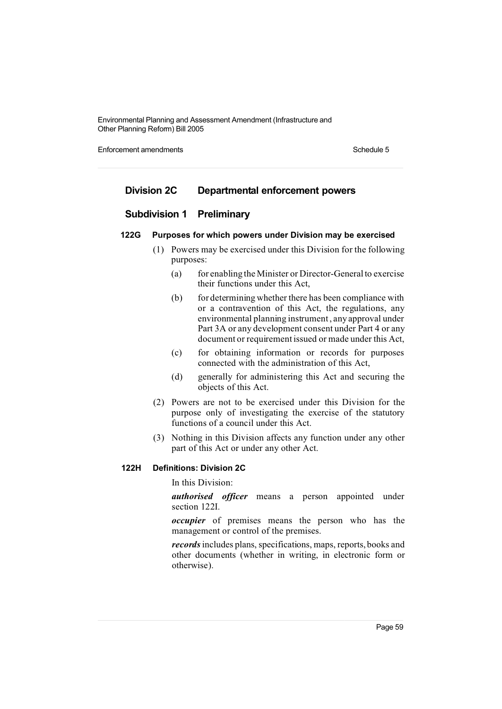Enforcement amendments **Schedule 5** and the state of the state of the Schedule 5

# **Division 2C Departmental enforcement powers**

# **Subdivision 1 Preliminary**

# **122G Purposes for which powers under Division may be exercised**

- (1) Powers may be exercised under this Division for the following purposes:
	- (a) for enabling the Minister or Director-General to exercise their functions under this Act,
	- (b) for determining whether there has been compliance with or a contravention of this Act, the regulations, any environmental planning instrument, any approval under Part 3A or any development consent under Part 4 or any document or requirement issued or made under this Act,
	- (c) for obtaining information or records for purposes connected with the administration of this Act,
	- (d) generally for administering this Act and securing the objects of this Act.
- (2) Powers are not to be exercised under this Division for the purpose only of investigating the exercise of the statutory functions of a council under this Act.
- (3) Nothing in this Division affects any function under any other part of this Act or under any other Act.

#### **122H Definitions: Division 2C**

In this Division:

*authorised officer* means a person appointed under section 122I.

*occupier* of premises means the person who has the management or control of the premises.

*records* includes plans, specifications, maps, reports, books and other documents (whether in writing, in electronic form or otherwise).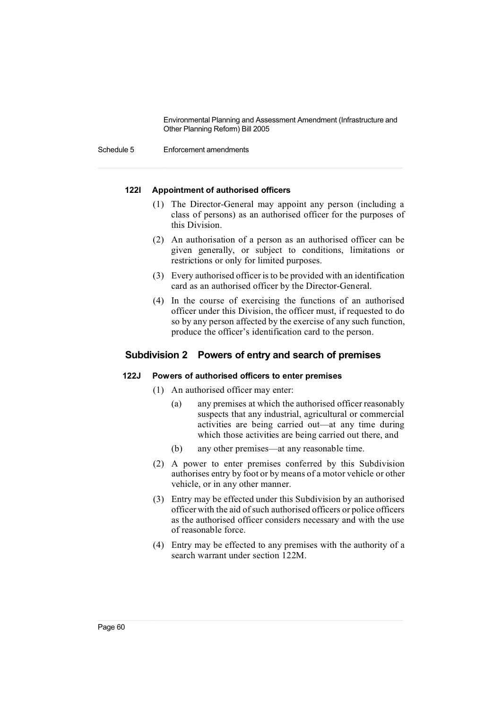Schedule 5 Enforcement amendments

#### **122I Appointment of authorised officers**

- (1) The Director-General may appoint any person (including a class of persons) as an authorised officer for the purposes of this Division.
- (2) An authorisation of a person as an authorised officer can be given generally, or subject to conditions, limitations or restrictions or only for limited purposes.
- (3) Every authorised officeris to be provided with an identification card as an authorised officer by the Director-General.
- (4) In the course of exercising the functions of an authorised officer under this Division, the officer must, if requested to do so by any person affected by the exercise of any such function, produce the officer's identification card to the person.

# **Subdivision 2 Powers of entry and search of premises**

# **122J Powers of authorised officers to enter premises**

- (1) An authorised officer may enter:
	- (a) any premises at which the authorised officer reasonably suspects that any industrial, agricultural or commercial activities are being carried out—at any time during which those activities are being carried out there, and
	- (b) any other premises—at any reasonable time.
- (2) A power to enter premises conferred by this Subdivision authorises entry by foot or by means of a motor vehicle or other vehicle, or in any other manner.
- (3) Entry may be effected under this Subdivision by an authorised officer with the aid ofsuch authorised officers or police officers as the authorised officer considers necessary and with the use of reasonable force.
- (4) Entry may be effected to any premises with the authority of a search warrant under section 122M.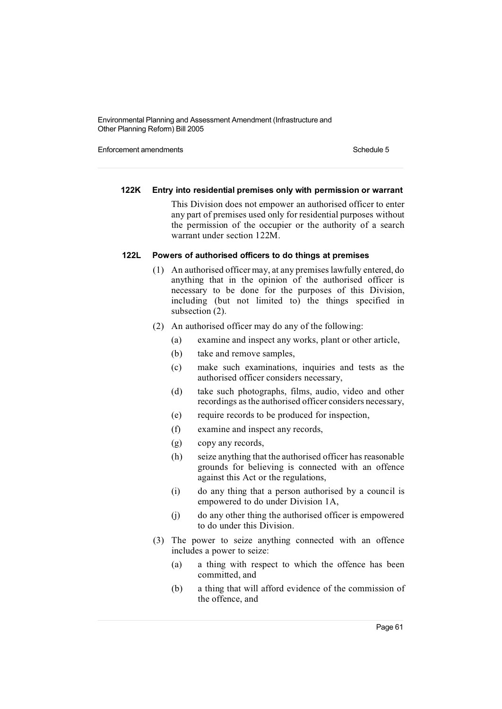Enforcement amendments **Schedule 5** and the state of the state of the Schedule 5

#### **122K Entry into residential premises only with permission or warrant**

This Division does not empower an authorised officer to enter any part of premises used only for residential purposes without the permission of the occupier or the authority of a search warrant under section 122M.

#### **122L Powers of authorised officers to do things at premises**

- (1) An authorised officer may, at any premises lawfully entered, do anything that in the opinion of the authorised officer is necessary to be done for the purposes of this Division, including (but not limited to) the things specified in subsection (2).
- (2) An authorised officer may do any of the following:
	- (a) examine and inspect any works, plant or other article,
	- (b) take and remove samples,
	- (c) make such examinations, inquiries and tests as the authorised officer considers necessary,
	- (d) take such photographs, films, audio, video and other recordings asthe authorised officer considers necessary,
	- (e) require records to be produced for inspection,
	- (f) examine and inspect any records,
	- (g) copy any records,
	- (h) seize anything that the authorised officer has reasonable grounds for believing is connected with an offence against this Act or the regulations,
	- (i) do any thing that a person authorised by a council is empowered to do under Division 1A,
	- (j) do any other thing the authorised officer is empowered to do under this Division.
- (3) The power to seize anything connected with an offence includes a power to seize:
	- (a) a thing with respect to which the offence has been committed, and
	- (b) a thing that will afford evidence of the commission of the offence, and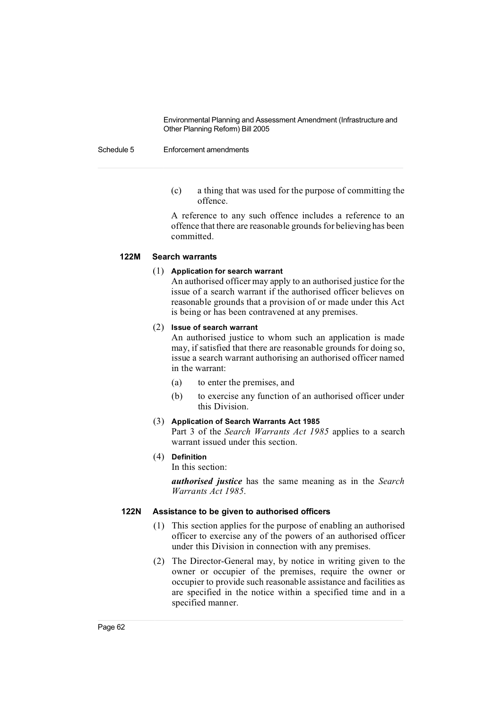#### Schedule 5 Enforcement amendments

(c) a thing that was used for the purpose of committing the offence.

A reference to any such offence includes a reference to an offence that there are reasonable grounds for believing has been committed.

## **122M Search warrants**

## (1) **Application for search warrant**

An authorised officer may apply to an authorised justice for the issue of a search warrant if the authorised officer believes on reasonable grounds that a provision of or made under this Act is being or has been contravened at any premises.

#### (2) **Issue of search warrant**

An authorised justice to whom such an application is made may, if satisfied that there are reasonable grounds for doing so, issue a search warrant authorising an authorised officer named in the warrant:

- (a) to enter the premises, and
- (b) to exercise any function of an authorised officer under this Division.

#### (3) **Application of Search Warrants Act 1985**

Part 3 of the *Search Warrants Act 1985* applies to a search warrant issued under this section.

# (4) **Definition**

In this section:

*authorised justice* has the same meaning as in the *Search Warrants Act 1985*.

#### **122N Assistance to be given to authorised officers**

- (1) This section applies for the purpose of enabling an authorised officer to exercise any of the powers of an authorised officer under this Division in connection with any premises.
- (2) The Director-General may, by notice in writing given to the owner or occupier of the premises, require the owner or occupier to provide such reasonable assistance and facilities as are specified in the notice within a specified time and in a specified manner.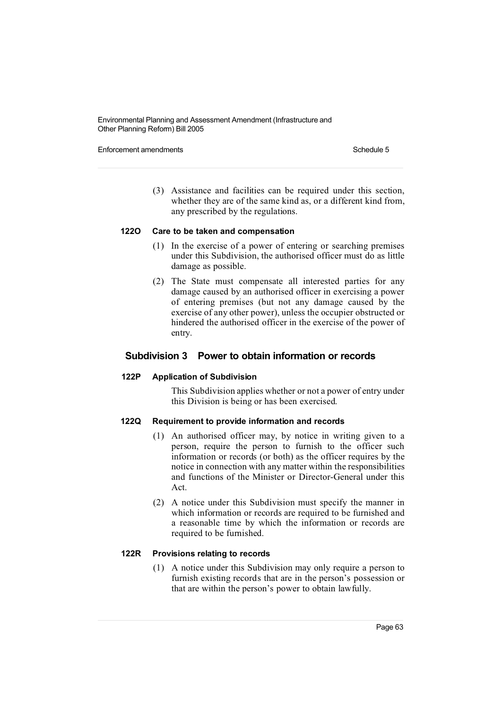Enforcement amendments **Schedule 5** and the state of the state of the Schedule 5

(3) Assistance and facilities can be required under this section, whether they are of the same kind as, or a different kind from, any prescribed by the regulations.

#### **122O Care to be taken and compensation**

- (1) In the exercise of a power of entering or searching premises under this Subdivision, the authorised officer must do as little damage as possible.
- (2) The State must compensate all interested parties for any damage caused by an authorised officer in exercising a power of entering premises (but not any damage caused by the exercise of any other power), unless the occupier obstructed or hindered the authorised officer in the exercise of the power of entry.

# **Subdivision 3 Power to obtain information or records**

#### **122P Application of Subdivision**

This Subdivision applies whether or not a power of entry under this Division is being or has been exercised.

## **122Q Requirement to provide information and records**

- (1) An authorised officer may, by notice in writing given to a person, require the person to furnish to the officer such information or records (or both) as the officer requires by the notice in connection with any matter within the responsibilities and functions of the Minister or Director-General under this Act.
- (2) A notice under this Subdivision must specify the manner in which information or records are required to be furnished and a reasonable time by which the information or records are required to be furnished.

# **122R Provisions relating to records**

(1) A notice under this Subdivision may only require a person to furnish existing records that are in the person's possession or that are within the person's power to obtain lawfully.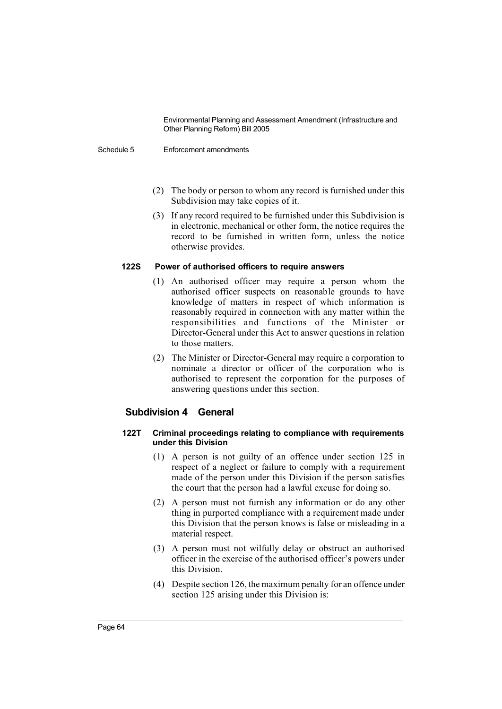Schedule 5 Enforcement amendments

- (2) The body or person to whom any record is furnished under this Subdivision may take copies of it.
- (3) If any record required to be furnished under this Subdivision is in electronic, mechanical or other form, the notice requires the record to be furnished in written form, unless the notice otherwise provides.

#### **122S Power of authorised officers to require answers**

- (1) An authorised officer may require a person whom the authorised officer suspects on reasonable grounds to have knowledge of matters in respect of which information is reasonably required in connection with any matter within the responsibilities and functions of the Minister or Director-General under this Act to answer questions in relation to those matters.
- (2) The Minister or Director-General may require a corporation to nominate a director or officer of the corporation who is authorised to represent the corporation for the purposes of answering questions under this section.

# **Subdivision 4 General**

## **122T Criminal proceedings relating to compliance with requirements under this Division**

- (1) A person is not guilty of an offence under section 125 in respect of a neglect or failure to comply with a requirement made of the person under this Division if the person satisfies the court that the person had a lawful excuse for doing so.
- (2) A person must not furnish any information or do any other thing in purported compliance with a requirement made under this Division that the person knows is false or misleading in a material respect.
- (3) A person must not wilfully delay or obstruct an authorised officer in the exercise of the authorised officer's powers under this Division.
- (4) Despite section 126, the maximum penalty for an offence under section 125 arising under this Division is: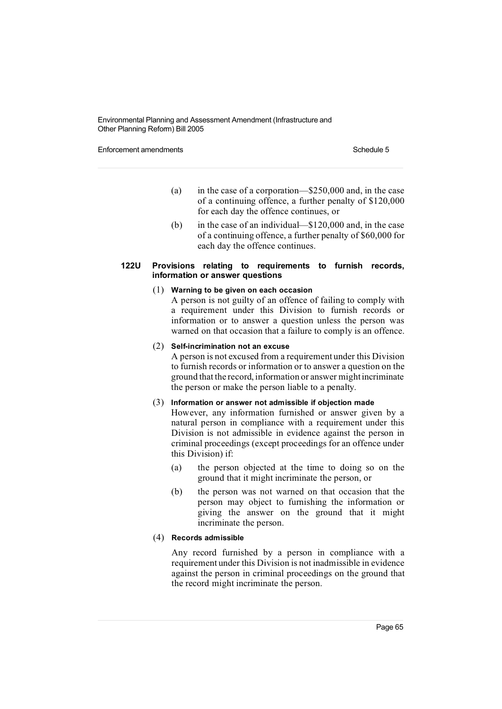Enforcement amendments **Schedule 5** and the state of the state of the Schedule 5

- (a) in the case of a corporation—\$250,000 and, in the case of a continuing offence, a further penalty of \$120,000 for each day the offence continues, or
- (b) in the case of an individual—\$120,000 and, in the case of a continuing offence, a further penalty of \$60,000 for each day the offence continues.

#### **122U Provisions relating to requirements to furnish records, information or answer questions**

#### (1) **Warning to be given on each occasion**

A person is not guilty of an offence of failing to comply with a requirement under this Division to furnish records or information or to answer a question unless the person was warned on that occasion that a failure to comply is an offence.

#### (2) **Self-incrimination not an excuse**

A person is not excused from a requirement under this Division to furnish records or information or to answer a question on the ground that the record, information or answer mightincriminate the person or make the person liable to a penalty.

## (3) **Information or answer not admissible if objection made**

However, any information furnished or answer given by a natural person in compliance with a requirement under this Division is not admissible in evidence against the person in criminal proceedings (except proceedings for an offence under this Division) if:

- (a) the person objected at the time to doing so on the ground that it might incriminate the person, or
- (b) the person was not warned on that occasion that the person may object to furnishing the information or giving the answer on the ground that it might incriminate the person.

## (4) **Records admissible**

Any record furnished by a person in compliance with a requirement under this Division is not inadmissible in evidence against the person in criminal proceedings on the ground that the record might incriminate the person.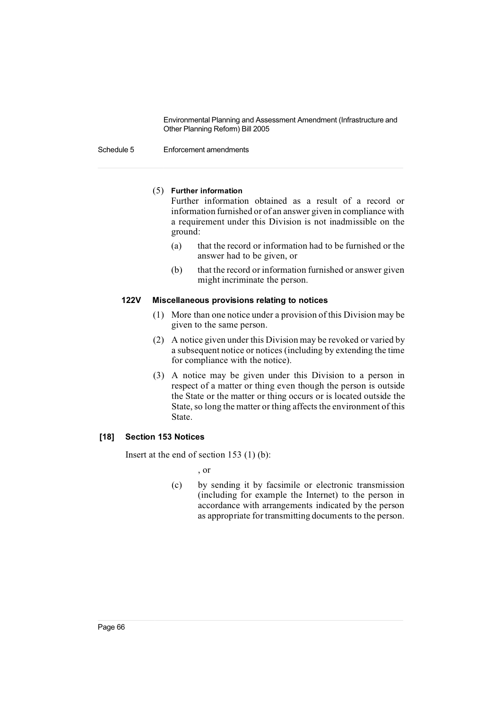#### Schedule 5 Enforcement amendments

#### (5) **Further information**

Further information obtained as a result of a record or information furnished or of an answer given in compliance with a requirement under this Division is not inadmissible on the ground:

- (a) that the record or information had to be furnished or the answer had to be given, or
- (b) that the record or information furnished or answer given might incriminate the person.

#### **122V Miscellaneous provisions relating to notices**

- (1) More than one notice under a provision of this Division may be given to the same person.
- (2) A notice given under this Division may be revoked or varied by a subsequent notice or notices (including by extending the time for compliance with the notice).
- (3) A notice may be given under this Division to a person in respect of a matter or thing even though the person is outside the State or the matter or thing occurs or is located outside the State, so long the matter or thing affects the environment of this State.

## **[18] Section 153 Notices**

Insert at the end of section 153 (1) (b):

, or

(c) by sending it by facsimile or electronic transmission (including for example the Internet) to the person in accordance with arrangements indicated by the person as appropriate for transmitting documents to the person.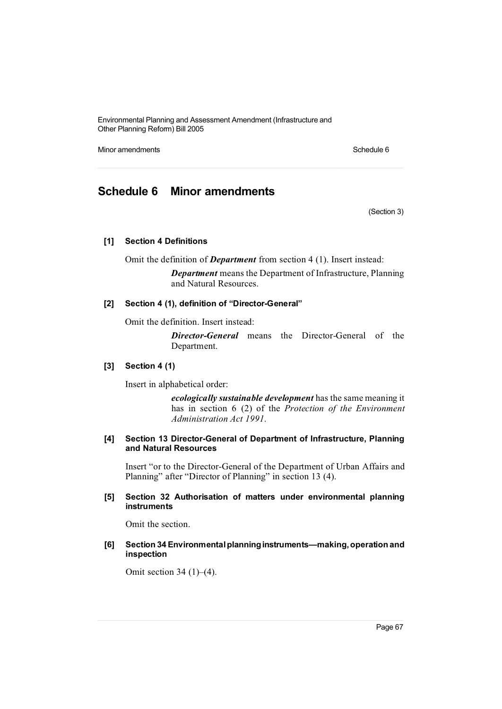Minor amendments Schedule 6

# **Schedule 6 Minor amendments**

(Section 3)

#### **[1] Section 4 Definitions**

Omit the definition of *Department* from section 4 (1). Insert instead:

*Department* means the Department of Infrastructure, Planning and Natural Resources.

#### **[2] Section 4 (1), definition of "Director-General"**

Omit the definition. Insert instead:

*Director-General* means the Director-General of the Department.

#### **[3] Section 4 (1)**

Insert in alphabetical order:

*ecologically sustainable development* has the same meaning it has in section 6 (2) of the *Protection of the Environment Administration Act 1991*.

## **[4] Section 13 Director-General of Department of Infrastructure, Planning and Natural Resources**

Insert "or to the Director-General of the Department of Urban Affairs and Planning" after "Director of Planning" in section 13 (4).

#### **[5] Section 32 Authorisation of matters under environmental planning instruments**

Omit the section.

## **[6] Section 34 Environmentalplanninginstruments—making,operationand inspection**

Omit section 34  $(1)$ – $(4)$ .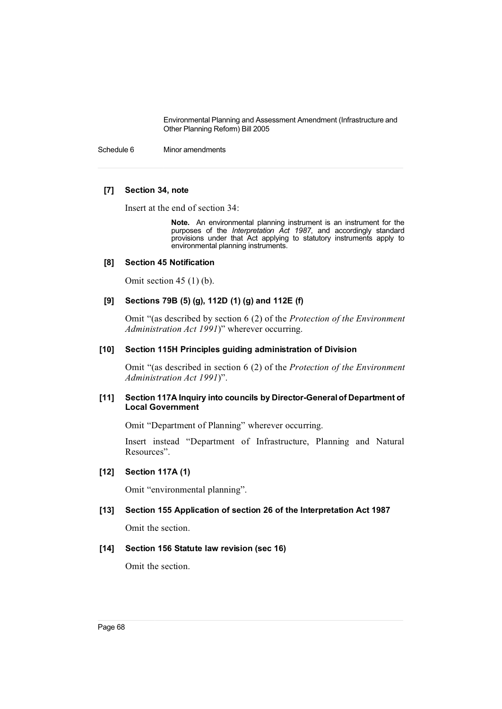Schedule 6 Minor amendments

#### **[7] Section 34, note**

Insert at the end of section 34:

**Note.** An environmental planning instrument is an instrument for the purposes of the *Interpretation Act 1987*, and accordingly standard provisions under that Act applying to statutory instruments apply to environmental planning instruments.

#### **[8] Section 45 Notification**

Omit section  $45(1)(b)$ .

# **[9] Sections 79B (5) (g), 112D (1) (g) and 112E (f)**

Omit "(as described by section 6 (2) of the *Protection of the Environment Administration Act 1991*)" wherever occurring.

#### **[10] Section 115H Principles guiding administration of Division**

Omit "(as described in section 6 (2) of the *Protection of the Environment Administration Act 1991*)".

#### **[11] Section 117A Inquiry into councils by Director-Generalof Department of Local Government**

Omit "Department of Planning" wherever occurring.

Insert instead "Department of Infrastructure, Planning and Natural Resources".

### **[12] Section 117A (1)**

Omit "environmental planning".

#### **[13] Section 155 Application of section 26 of the Interpretation Act 1987**

Omit the section.

#### **[14] Section 156 Statute law revision (sec 16)**

Omit the section.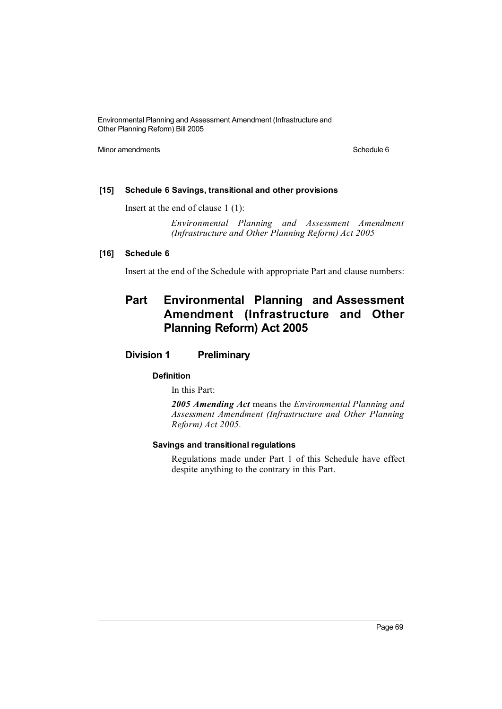Minor amendments Schedule 6

## **[15] Schedule 6 Savings, transitional and other provisions**

Insert at the end of clause 1 (1):

*Environmental Planning and Assessment Amendment (Infrastructure and Other Planning Reform) Act 2005*

# **[16] Schedule 6**

Insert at the end of the Schedule with appropriate Part and clause numbers:

# **Part Environmental Planning and Assessment Amendment (Infrastructure and Other Planning Reform) Act 2005**

# **Division 1 Preliminary**

# **Definition**

In this Part:

*2005 Amending Act* means the *Environmental Planning and Assessment Amendment (Infrastructure and Other Planning Reform) Act 2005*.

#### **Savings and transitional regulations**

Regulations made under Part 1 of this Schedule have effect despite anything to the contrary in this Part.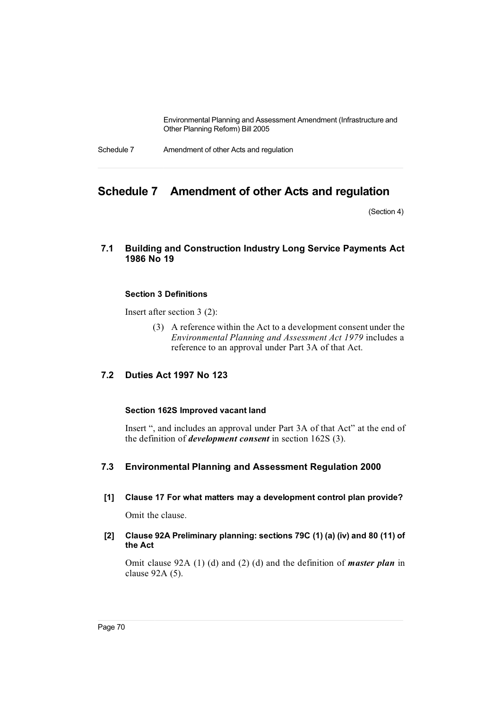Schedule 7 Amendment of other Acts and regulation

# **Schedule 7 Amendment of other Acts and regulation**

(Section 4)

# **7.1 Building and Construction Industry Long Service Payments Act 1986 No 19**

#### **Section 3 Definitions**

Insert after section 3 (2):

(3) A reference within the Act to a development consent under the *Environmental Planning and Assessment Act 1979* includes a reference to an approval under Part 3A of that Act.

# **7.2 Duties Act 1997 No 123**

# **Section 162S Improved vacant land**

Insert ", and includes an approval under Part 3A of that Act" at the end of the definition of *development consent* in section 162S (3).

# **7.3 Environmental Planning and Assessment Regulation 2000**

**[1] Clause 17 For what matters may a development control plan provide?**

Omit the clause.

## **[2] Clause 92A Preliminary planning: sections 79C (1) (a) (iv) and 80 (11) of the Act**

Omit clause 92A (1) (d) and (2) (d) and the definition of *master plan* in clause 92A (5).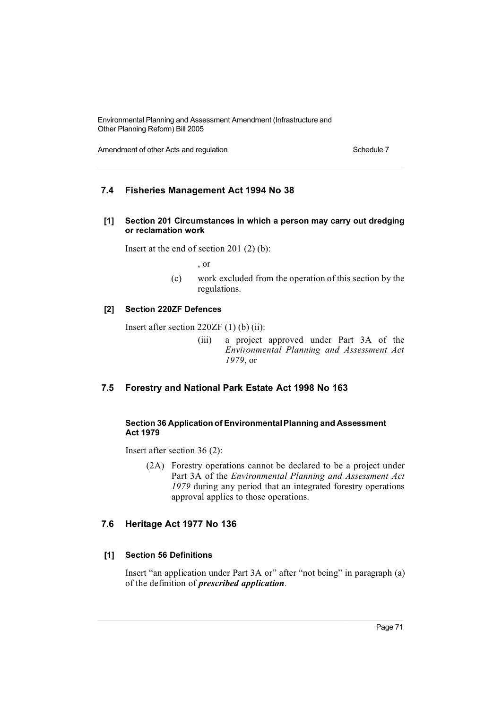Amendment of other Acts and regulation Schedule 7 Schedule 7

# **7.4 Fisheries Management Act 1994 No 38**

**[1] Section 201 Circumstances in which a person may carry out dredging or reclamation work**

Insert at the end of section 201 (2) (b):

, or

(c) work excluded from the operation of this section by the regulations.

# **[2] Section 220ZF Defences**

Insert after section 220ZF (1) (b) (ii):

(iii) a project approved under Part 3A of the *Environmental Planning and Assessment Act 1979*, or

# **7.5 Forestry and National Park Estate Act 1998 No 163**

## **Section 36 Application of EnvironmentalPlanning and Assessment Act 1979**

Insert after section 36 (2):

(2A) Forestry operations cannot be declared to be a project under Part 3A of the *Environmental Planning and Assessment Act 1979* during any period that an integrated forestry operations approval applies to those operations.

# **7.6 Heritage Act 1977 No 136**

# **[1] Section 56 Definitions**

Insert "an application under Part 3A or" after "not being" in paragraph (a) of the definition of *prescribed application*.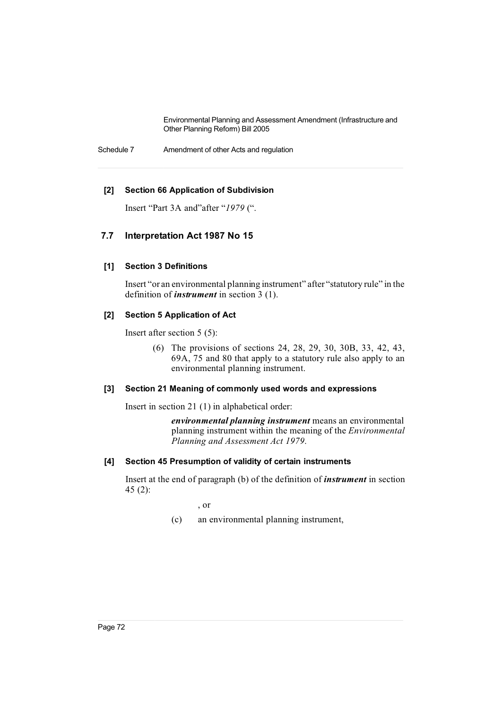Schedule 7 Amendment of other Acts and regulation

### **[2] Section 66 Application of Subdivision**

Insert "Part 3A and"after "*1979* (".

## **7.7 Interpretation Act 1987 No 15**

### **[1] Section 3 Definitions**

Insert "or an environmental planning instrument" after "statutory rule" in the definition of *instrument* in section 3 (1).

### **[2] Section 5 Application of Act**

Insert after section 5 (5):

(6) The provisions of sections 24, 28, 29, 30, 30B, 33, 42, 43, 69A, 75 and 80 that apply to a statutory rule also apply to an environmental planning instrument.

### **[3] Section 21 Meaning of commonly used words and expressions**

Insert in section 21 (1) in alphabetical order:

*environmental planning instrument* means an environmental planning instrument within the meaning of the *Environmental Planning and Assessment Act 1979*.

### **[4] Section 45 Presumption of validity of certain instruments**

Insert at the end of paragraph (b) of the definition of *instrument* in section 45 (2):

, or

(c) an environmental planning instrument,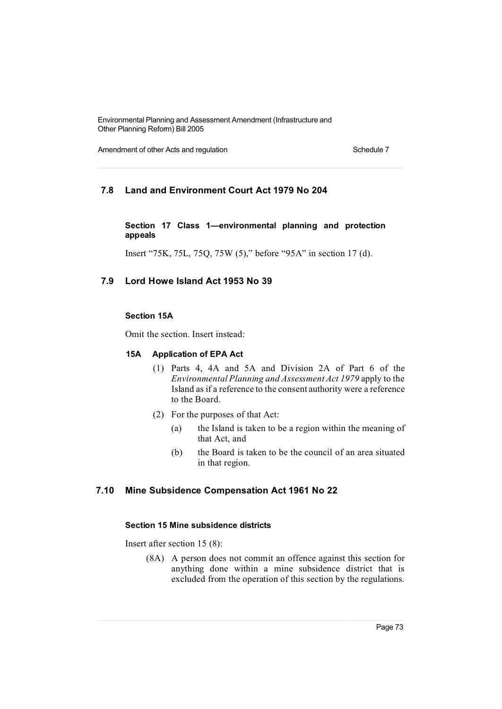Amendment of other Acts and regulation Schedule 7 Schedule 7

## **7.8 Land and Environment Court Act 1979 No 204**

### **Section 17 Class 1—environmental planning and protection appeals**

Insert "75K, 75L, 75Q, 75W (5)," before "95A" in section 17 (d).

## **7.9 Lord Howe Island Act 1953 No 39**

#### **Section 15A**

Omit the section. Insert instead:

#### **15A Application of EPA Act**

- (1) Parts 4, 4A and 5A and Division 2A of Part 6 of the *Environmental Planning and Assessment Act 1979* apply to the Island as if a reference to the consent authority were a reference to the Board.
- (2) For the purposes of that Act:
	- (a) the Island is taken to be a region within the meaning of that Act, and
	- (b) the Board is taken to be the council of an area situated in that region.

### **7.10 Mine Subsidence Compensation Act 1961 No 22**

### **Section 15 Mine subsidence districts**

Insert after section 15 (8):

(8A) A person does not commit an offence against this section for anything done within a mine subsidence district that is excluded from the operation of this section by the regulations.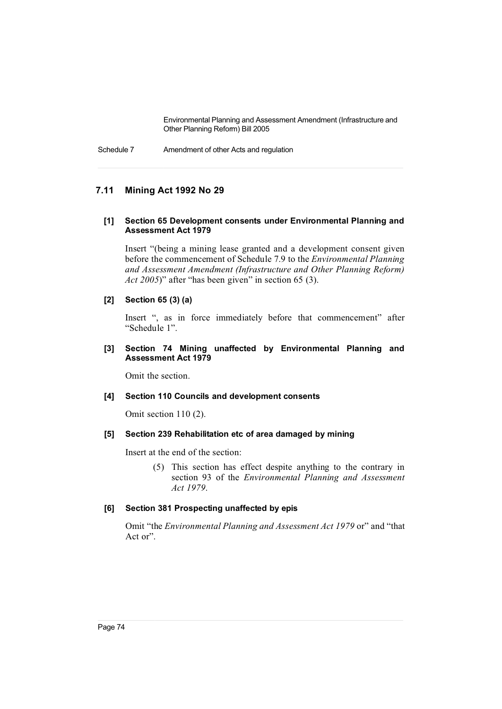Schedule 7 Amendment of other Acts and regulation

## **7.11 Mining Act 1992 No 29**

#### **[1] Section 65 Development consents under Environmental Planning and Assessment Act 1979**

Insert "(being a mining lease granted and a development consent given before the commencement of Schedule 7.9 to the *Environmental Planning and Assessment Amendment (Infrastructure and Other Planning Reform) Act 2005*)" after "has been given" in section 65 (3).

### **[2] Section 65 (3) (a)**

Insert ", as in force immediately before that commencement" after "Schedule 1".

### **[3] Section 74 Mining unaffected by Environmental Planning and Assessment Act 1979**

Omit the section.

#### **[4] Section 110 Councils and development consents**

Omit section 110 (2).

#### **[5] Section 239 Rehabilitation etc of area damaged by mining**

Insert at the end of the section:

(5) This section has effect despite anything to the contrary in section 93 of the *Environmental Planning and Assessment Act 1979*.

#### **[6] Section 381 Prospecting unaffected by epis**

Omit "the *Environmental Planning and Assessment Act 1979* or" and "that Act or".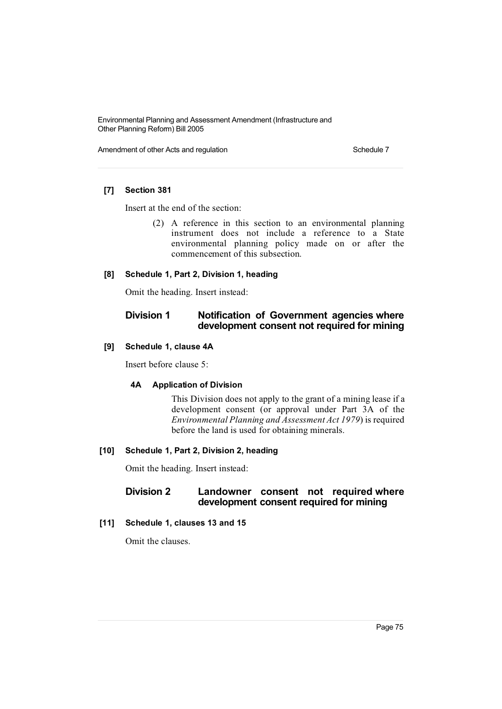Amendment of other Acts and regulation Schedule 7 Schedule 7

## **[7] Section 381**

Insert at the end of the section:

(2) A reference in this section to an environmental planning instrument does not include a reference to a State environmental planning policy made on or after the commencement of this subsection.

### **[8] Schedule 1, Part 2, Division 1, heading**

Omit the heading. Insert instead:

## **Division 1 Notification of Government agencies where development consent not required for mining**

#### **[9] Schedule 1, clause 4A**

Insert before clause 5:

#### **4A Application of Division**

This Division does not apply to the grant of a mining lease if a development consent (or approval under Part 3A of the *Environmental Planning and Assessment Act 1979*) is required before the land is used for obtaining minerals.

#### **[10] Schedule 1, Part 2, Division 2, heading**

Omit the heading. Insert instead:

## **Division 2 Landowner consent not required where development consent required for mining**

## **[11] Schedule 1, clauses 13 and 15**

Omit the clauses.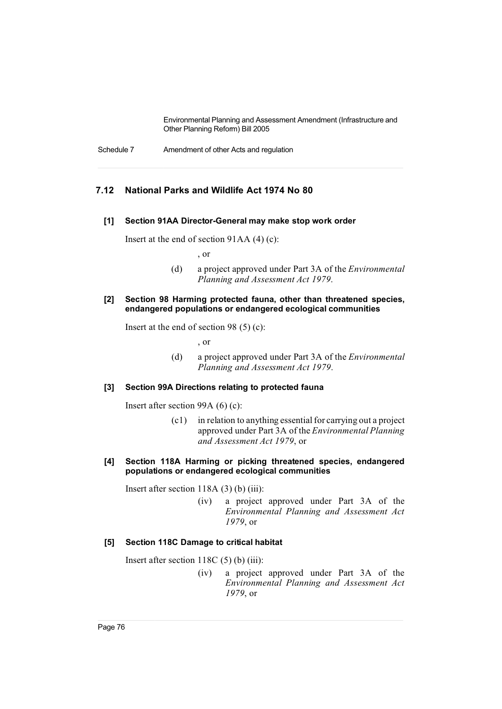Schedule 7 Amendment of other Acts and regulation

## **7.12 National Parks and Wildlife Act 1974 No 80**

#### **[1] Section 91AA Director-General may make stop work order**

Insert at the end of section 91AA (4) (c):

, or

(d) a project approved under Part 3A of the *Environmental Planning and Assessment Act 1979*.

#### **[2] Section 98 Harming protected fauna, other than threatened species, endangered populations or endangered ecological communities**

Insert at the end of section 98 (5) (c):

, or

(d) a project approved under Part 3A of the *Environmental Planning and Assessment Act 1979*.

### **[3] Section 99A Directions relating to protected fauna**

Insert after section 99A (6) (c):

 $(c1)$  in relation to anything essential for carrying out a project approved under Part 3A of the *Environmental Planning and Assessment Act 1979*, or

### **[4] Section 118A Harming or picking threatened species, endangered populations or endangered ecological communities**

Insert after section 118A (3) (b) (iii):

(iv) a project approved under Part 3A of the *Environmental Planning and Assessment Act 1979*, or

### **[5] Section 118C Damage to critical habitat**

Insert after section 118C (5) (b) (iii):

(iv) a project approved under Part 3A of the *Environmental Planning and Assessment Act 1979*, or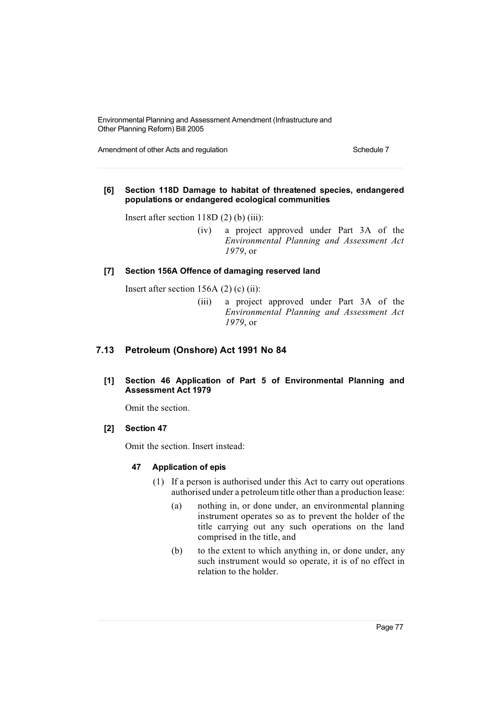Amendment of other Acts and regulation Schedule 7 Schedule 7

### **[6] Section 118D Damage to habitat of threatened species, endangered populations or endangered ecological communities**

Insert after section 118D (2) (b) (iii):

(iv) a project approved under Part 3A of the *Environmental Planning and Assessment Act 1979*, or

### **[7] Section 156A Offence of damaging reserved land**

Insert after section 156A  $(2)$   $(c)$   $(ii)$ :

(iii) a project approved under Part 3A of the *Environmental Planning and Assessment Act 1979*, or

## **7.13 Petroleum (Onshore) Act 1991 No 84**

**[1] Section 46 Application of Part 5 of Environmental Planning and Assessment Act 1979**

Omit the section.

### **[2] Section 47**

Omit the section. Insert instead:

### **47 Application of epis**

- (1) If a person is authorised under this Act to carry out operations authorised under a petroleum title other than a production lease:
	- (a) nothing in, or done under, an environmental planning instrument operates so as to prevent the holder of the title carrying out any such operations on the land comprised in the title, and
	- (b) to the extent to which anything in, or done under, any such instrument would so operate, it is of no effect in relation to the holder.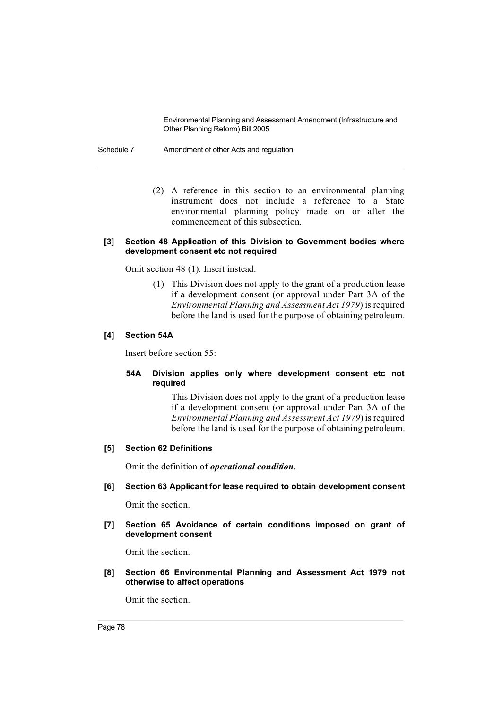Schedule 7 Amendment of other Acts and regulation

(2) A reference in this section to an environmental planning instrument does not include a reference to a State environmental planning policy made on or after the commencement of this subsection.

### **[3] Section 48 Application of this Division to Government bodies where development consent etc not required**

Omit section 48 (1). Insert instead:

(1) This Division does not apply to the grant of a production lease if a development consent (or approval under Part 3A of the *Environmental Planning and Assessment Act 1979*) is required before the land is used for the purpose of obtaining petroleum.

### **[4] Section 54A**

Insert before section 55:

## **54A Division applies only where development consent etc not required**

This Division does not apply to the grant of a production lease if a development consent (or approval under Part 3A of the *Environmental Planning and Assessment Act 1979*) is required before the land is used for the purpose of obtaining petroleum.

### **[5] Section 62 Definitions**

Omit the definition of *operational condition*.

**[6] Section 63 Applicant for lease required to obtain development consent**

Omit the section.

**[7] Section 65 Avoidance of certain conditions imposed on grant of development consent**

Omit the section.

**[8] Section 66 Environmental Planning and Assessment Act 1979 not otherwise to affect operations**

Omit the section.

Page 78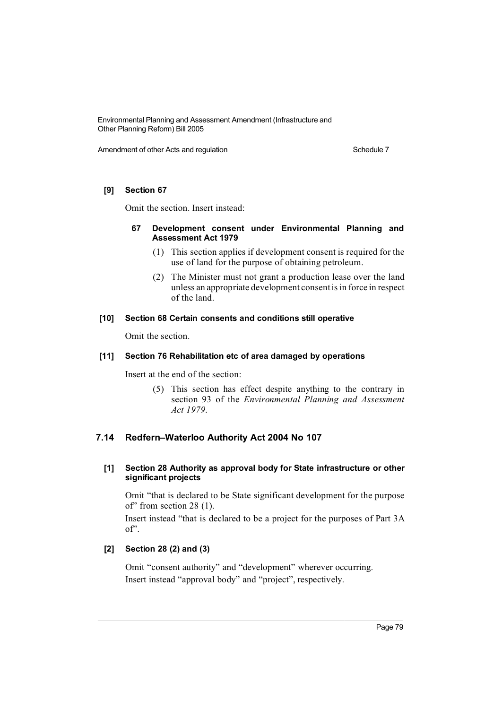Amendment of other Acts and regulation Schedule 7 Schedule 7

### **[9] Section 67**

Omit the section. Insert instead:

### **67 Development consent under Environmental Planning and Assessment Act 1979**

- (1) This section applies if development consent is required for the use of land for the purpose of obtaining petroleum.
- (2) The Minister must not grant a production lease over the land unless an appropriate development consentisin force in respect of the land.

### **[10] Section 68 Certain consents and conditions still operative**

Omit the section.

### **[11] Section 76 Rehabilitation etc of area damaged by operations**

Insert at the end of the section:

(5) This section has effect despite anything to the contrary in section 93 of the *Environmental Planning and Assessment Act 1979*.

## **7.14 Redfern–Waterloo Authority Act 2004 No 107**

## **[1] Section 28 Authority as approval body for State infrastructure or other significant projects**

Omit "that is declared to be State significant development for the purpose of" from section 28 (1).

Insert instead "that is declared to be a project for the purposes of Part 3A of".

### **[2] Section 28 (2) and (3)**

Omit "consent authority" and "development" wherever occurring. Insert instead "approval body" and "project", respectively.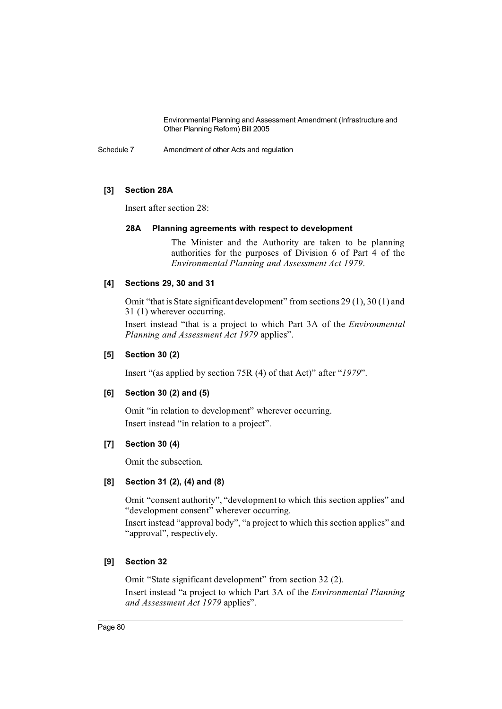Schedule 7 Amendment of other Acts and regulation

## **[3] Section 28A**

Insert after section 28:

### **28A Planning agreements with respect to development**

The Minister and the Authority are taken to be planning authorities for the purposes of Division 6 of Part 4 of the *Environmental Planning and Assessment Act 1979*.

### **[4] Sections 29, 30 and 31**

Omit "that is State significant development" from sections 29 (1), 30 (1) and 31 (1) wherever occurring.

Insert instead "that is a project to which Part 3A of the *Environmental Planning and Assessment Act 1979* applies".

### **[5] Section 30 (2)**

Insert "(as applied by section 75R (4) of that Act)" after "*1979*".

### **[6] Section 30 (2) and (5)**

Omit "in relation to development" wherever occurring. Insert instead "in relation to a project".

### **[7] Section 30 (4)**

Omit the subsection.

### **[8] Section 31 (2), (4) and (8)**

Omit "consent authority", "development to which this section applies" and "development consent" wherever occurring.

Insert instead "approval body", "a project to which this section applies" and "approval", respectively.

### **[9] Section 32**

Omit "State significant development" from section 32 (2). Insert instead "a project to which Part 3A of the *Environmental Planning and Assessment Act 1979* applies".